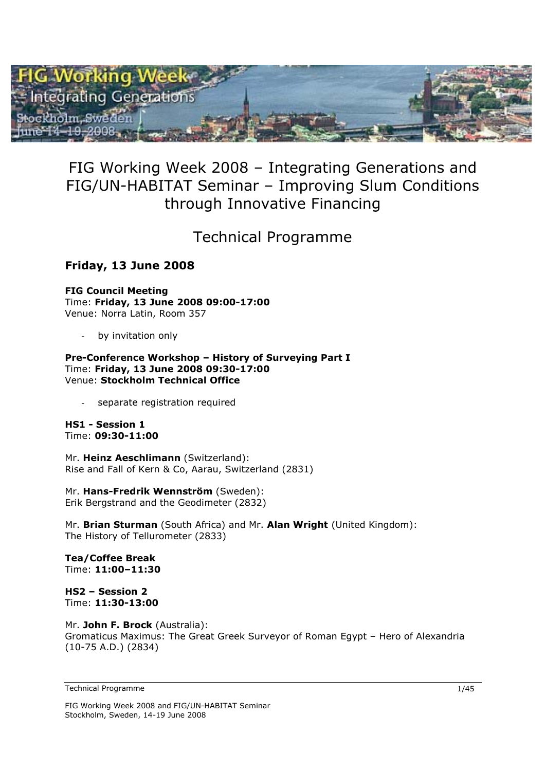

## FIG Working Week 2008 – Integrating Generations and FIG/UN-HABITAT Seminar – Improving Slum Conditions through Innovative Financing

## Technical Programme

## **Friday, 13 June 2008**

**FIG Council Meeting**  Time: **Friday, 13 June 2008 09:00-17:00** Venue: Norra Latin, Room 357

by invitation only

#### **Pre-Conference Workshop – History of Surveying Part I**  Time: **Friday, 13 June 2008 09:30-17:00**  Venue: **Stockholm Technical Office**

separate registration required

**HS1 - Session 1**  Time: **09:30-11:00** 

Mr. **Heinz Aeschlimann** (Switzerland): Rise and Fall of Kern & Co, Aarau, Switzerland (2831)

Mr. **Hans-Fredrik Wennström** (Sweden): Erik Bergstrand and the Geodimeter (2832)

Mr. **Brian Sturman** (South Africa) and Mr. **Alan Wright** (United Kingdom): The History of Tellurometer (2833)

**Tea/Coffee Break**  Time: **11:00–11:30** 

**HS2 – Session 2**  Time: **11:30-13:00** 

Mr. **John F. Brock** (Australia): Gromaticus Maximus: The Great Greek Surveyor of Roman Egypt – Hero of Alexandria (10-75 A.D.) (2834)

Technical Programme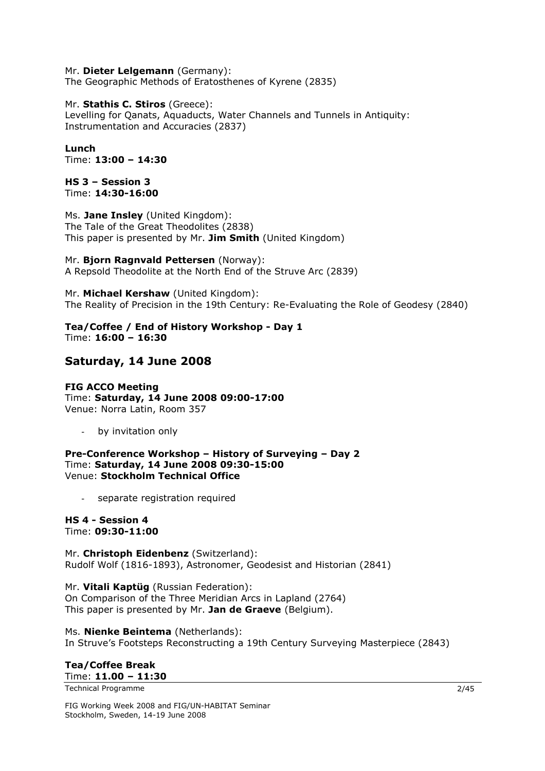### Mr. **Dieter Lelgemann** (Germany):

The Geographic Methods of Eratosthenes of Kyrene (2835)

#### Mr. **Stathis C. Stiros** (Greece):

Levelling for Qanats, Aquaducts, Water Channels and Tunnels in Antiquity: Instrumentation and Accuracies (2837)

**Lunch**  Time: **13:00 – 14:30**

**HS 3 – Session 3**  Time: **14:30-16:00** 

Ms. **Jane Insley** (United Kingdom): The Tale of the Great Theodolites (2838) This paper is presented by Mr. **Jim Smith** (United Kingdom)

Mr. **Bjorn Ragnvald Pettersen** (Norway): A Repsold Theodolite at the North End of the Struve Arc (2839)

Mr. **Michael Kershaw** (United Kingdom): The Reality of Precision in the 19th Century: Re-Evaluating the Role of Geodesy (2840)

**Tea/Coffee / End of History Workshop - Day 1**  Time: **16:00 – 16:30**

### **Saturday, 14 June 2008**

**FIG ACCO Meeting**  Time: **Saturday, 14 June 2008 09:00-17:00**  Venue: Norra Latin, Room 357

by invitation only

**Pre-Conference Workshop – History of Surveying – Day 2**  Time: **Saturday, 14 June 2008 09:30-15:00**  Venue: **Stockholm Technical Office** 

separate registration required

**HS 4 - Session 4**  Time: **09:30-11:00** 

Mr. **Christoph Eidenbenz** (Switzerland): Rudolf Wolf (1816-1893), Astronomer, Geodesist and Historian (2841)

Mr. **Vitali Kaptüg** (Russian Federation): On Comparison of the Three Meridian Arcs in Lapland (2764) This paper is presented by Mr. **Jan de Graeve** (Belgium).

Ms. **Nienke Beintema** (Netherlands): In Struve's Footsteps Reconstructing a 19th Century Surveying Masterpiece (2843)

#### **Tea/Coffee Break**  Time: **11.00 – 11:30**

Technical Programme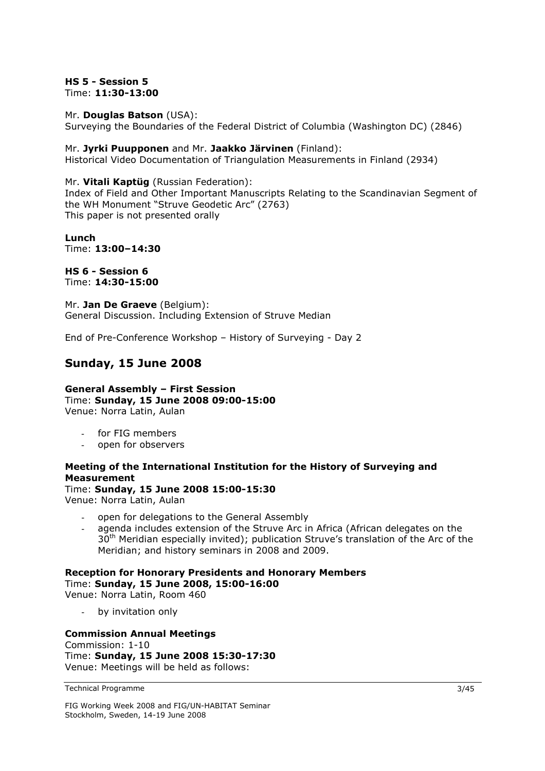### **HS 5 - Session 5**  Time: **11:30-13:00**

#### Mr. **Douglas Batson** (USA):

Surveying the Boundaries of the Federal District of Columbia (Washington DC) (2846)

### Mr. **Jyrki Puupponen** and Mr. **Jaakko Järvinen** (Finland):

Historical Video Documentation of Triangulation Measurements in Finland (2934)

### Mr. **Vitali Kaptüg** (Russian Federation):

Index of Field and Other Important Manuscripts Relating to the Scandinavian Segment of the WH Monument "Struve Geodetic Arc" (2763) This paper is not presented orally

**Lunch**  Time: **13:00–14:30**

**HS 6 - Session 6**  Time: **14:30-15:00** 

Mr. **Jan De Graeve** (Belgium): General Discussion. Including Extension of Struve Median

End of Pre-Conference Workshop – History of Surveying - Day 2

### **Sunday, 15 June 2008**

**General Assembly – First Session**  Time: **Sunday, 15 June 2008 09:00-15:00**  Venue: Norra Latin, Aulan

- for FIG members
- open for observers

### **Meeting of the International Institution for the History of Surveying and Measurement**

### Time: **Sunday, 15 June 2008 15:00-15:30**

Venue: Norra Latin, Aulan

- open for delegations to the General Assembly
- agenda includes extension of the Struve Arc in Africa (African delegates on the 30<sup>th</sup> Meridian especially invited); publication Struve's translation of the Arc of the Meridian; and history seminars in 2008 and 2009.

#### **Reception for Honorary Presidents and Honorary Members**  Time: **Sunday, 15 June 2008, 15:00-16:00** Venue: Norra Latin, Room 460

- by invitation only

### **Commission Annual Meetings**

Commission: 1-10 Time: **Sunday, 15 June 2008 15:30-17:30**  Venue: Meetings will be held as follows: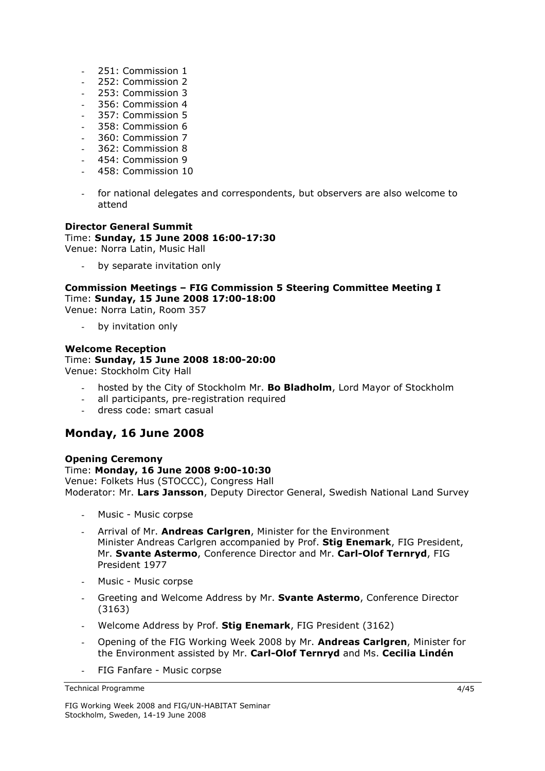- 251: Commission 1
- 252: Commission 2
- 253: Commission 3
- 356: Commission 4
- 357: Commission 5
- 358: Commission 6
- 360: Commission 7
- 362: Commission 8
- 454: Commission 9
- 458: Commission 10
- for national delegates and correspondents, but observers are also welcome to attend

### **Director General Summit**

### Time: **Sunday, 15 June 2008 16:00-17:30**

Venue: Norra Latin, Music Hall

by separate invitation only

### **Commission Meetings – FIG Commission 5 Steering Committee Meeting I**  Time: **Sunday, 15 June 2008 17:00-18:00**

Venue: Norra Latin, Room 357

by invitation only

### **Welcome Reception**  Time: **Sunday, 15 June 2008 18:00-20:00**

Venue: Stockholm City Hall

- hosted by the City of Stockholm Mr. **Bo Bladholm**, Lord Mayor of Stockholm
- all participants, pre-registration required
- dress code: smart casual

### **Monday, 16 June 2008**

### **Opening Ceremony**

Time: **Monday, 16 June 2008 9:00-10:30**  Venue: Folkets Hus (STOCCC), Congress Hall Moderator: Mr. **Lars Jansson**, Deputy Director General, Swedish National Land Survey

- Music Music corpse
- Arrival of Mr. **Andreas Carlgren**, Minister for the Environment Minister Andreas Carlgren accompanied by Prof. **Stig Enemark**, FIG President, Mr. **Svante Astermo**, Conference Director and Mr. **Carl-Olof Ternryd**, FIG President 1977
- Music Music corpse
- Greeting and Welcome Address by Mr. **Svante Astermo**, Conference Director (3163)
- Welcome Address by Prof. **Stig Enemark**, FIG President (3162)
- Opening of the FIG Working Week 2008 by Mr. **Andreas Carlgren**, Minister for the Environment assisted by Mr. **Carl-Olof Ternryd** and Ms. **Cecilia Lindén**
- FIG Fanfare Music corpse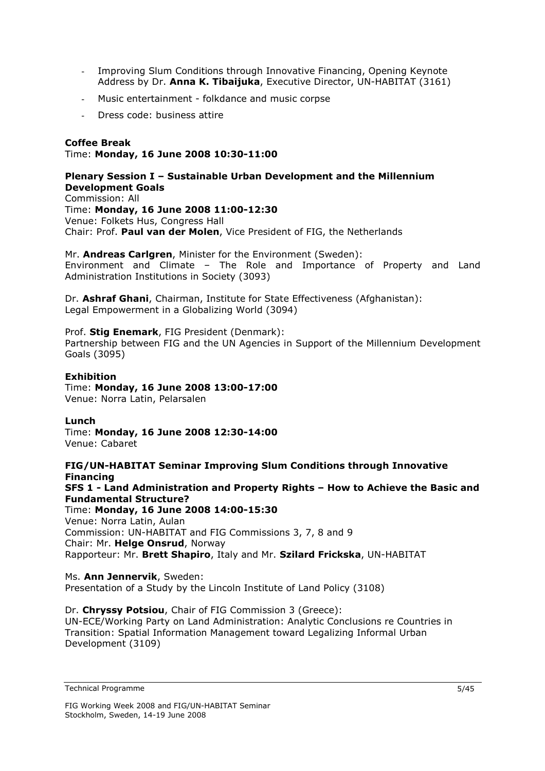- Improving Slum Conditions through Innovative Financing, Opening Keynote Address by Dr. **Anna K. Tibaijuka**, Executive Director, UN-HABITAT (3161)
- Music entertainment folkdance and music corpse
- Dress code: business attire

### **Coffee Break**

### Time: **Monday, 16 June 2008 10:30-11:00**

#### **Plenary Session I – Sustainable Urban Development and the Millennium Development Goals**  Commission: All

Time: **Monday, 16 June 2008 11:00-12:30**  Venue: Folkets Hus, Congress Hall Chair: Prof. **Paul van der Molen**, Vice President of FIG, the Netherlands

Mr. **Andreas Carlgren**, Minister for the Environment (Sweden): Environment and Climate – The Role and Importance of Property and Land Administration Institutions in Society (3093)

Dr. **Ashraf Ghani**, Chairman, Institute for State Effectiveness (Afghanistan): Legal Empowerment in a Globalizing World (3094)

Prof. **Stig Enemark**, FIG President (Denmark): Partnership between FIG and the UN Agencies in Support of the Millennium Development Goals (3095)

### **Exhibition**

Time: **Monday, 16 June 2008 13:00-17:00**  Venue: Norra Latin, Pelarsalen

### **Lunch**

Time: **Monday, 16 June 2008 12:30-14:00**  Venue: Cabaret

**FIG/UN-HABITAT Seminar Improving Slum Conditions through Innovative Financing SFS 1 - Land Administration and Property Rights – How to Achieve the Basic and Fundamental Structure?**  Time: **Monday, 16 June 2008 14:00-15:30**  Venue: Norra Latin, Aulan Commission: UN-HABITAT and FIG Commissions 3, 7, 8 and 9 Chair: Mr. **Helge Onsrud**, Norway Rapporteur: Mr. **Brett Shapiro**, Italy and Mr. **Szilard Frickska**, UN-HABITAT

Ms. **Ann Jennervik**, Sweden: Presentation of a Study by the Lincoln Institute of Land Policy (3108)

### Dr. **Chryssy Potsiou**, Chair of FIG Commission 3 (Greece):

UN-ECE/Working Party on Land Administration: Analytic Conclusions re Countries in Transition: Spatial Information Management toward Legalizing Informal Urban Development (3109)

Technical Programme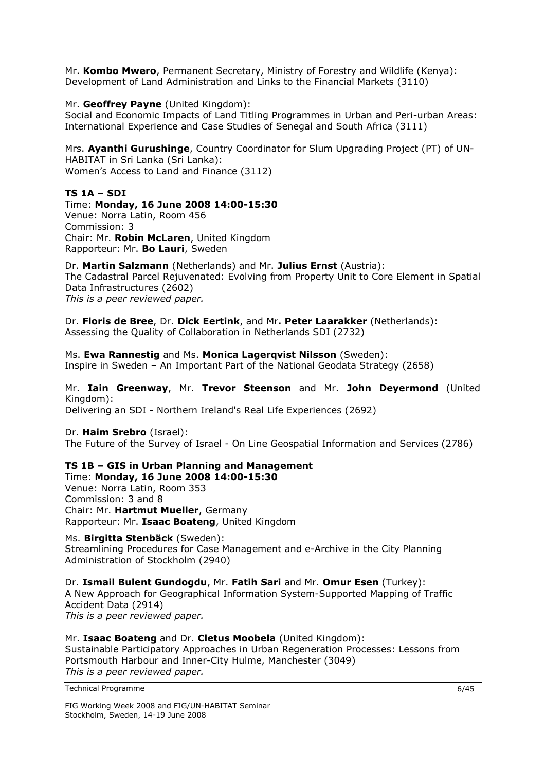Mr. **Kombo Mwero**, Permanent Secretary, Ministry of Forestry and Wildlife (Kenya): Development of Land Administration and Links to the Financial Markets (3110)

Mr. **Geoffrey Payne** (United Kingdom):

Social and Economic Impacts of Land Titling Programmes in Urban and Peri-urban Areas: International Experience and Case Studies of Senegal and South Africa (3111)

Mrs. **Ayanthi Gurushinge**, Country Coordinator for Slum Upgrading Project (PT) of UN-HABITAT in Sri Lanka (Sri Lanka): Women's Access to Land and Finance (3112)

### **TS 1A – SDI**

### Time: **Monday, 16 June 2008 14:00-15:30**

Venue: Norra Latin, Room 456 Commission: 3 Chair: Mr. **Robin McLaren**, United Kingdom Rapporteur: Mr. **Bo Lauri**, Sweden

### Dr. **Martin Salzmann** (Netherlands) and Mr. **Julius Ernst** (Austria):

The Cadastral Parcel Rejuvenated: Evolving from Property Unit to Core Element in Spatial Data Infrastructures (2602) *This is a peer reviewed paper.* 

Dr. **Floris de Bree**, Dr. **Dick Eertink**, and Mr**. Peter Laarakker** (Netherlands): Assessing the Quality of Collaboration in Netherlands SDI (2732)

Ms. **Ewa Rannestig** and Ms. **Monica Lagerqvist Nilsson** (Sweden): Inspire in Sweden – An Important Part of the National Geodata Strategy (2658)

### Mr. **Iain Greenway**, Mr. **Trevor Steenson** and Mr. **John Deyermond** (United Kingdom):

Delivering an SDI - Northern Ireland's Real Life Experiences (2692)

Dr. **Haim Srebro** (Israel):

The Future of the Survey of Israel - On Line Geospatial Information and Services (2786)

#### **TS 1B – GIS in Urban Planning and Management**  Time: **Monday, 16 June 2008 14:00-15:30**

Venue: Norra Latin, Room 353 Commission: 3 and 8 Chair: Mr. **Hartmut Mueller**, Germany Rapporteur: Mr. **Isaac Boateng**, United Kingdom

Ms. **Birgitta Stenbäck** (Sweden): Streamlining Procedures for Case Management and e-Archive in the City Planning Administration of Stockholm (2940)

Dr. **Ismail Bulent Gundogdu**, Mr. **Fatih Sari** and Mr. **Omur Esen** (Turkey): A New Approach for Geographical Information System-Supported Mapping of Traffic Accident Data (2914) *This is a peer reviewed paper.* 

Mr. **Isaac Boateng** and Dr. **Cletus Moobela** (United Kingdom): Sustainable Participatory Approaches in Urban Regeneration Processes: Lessons from Portsmouth Harbour and Inner-City Hulme, Manchester (3049) *This is a peer reviewed paper.*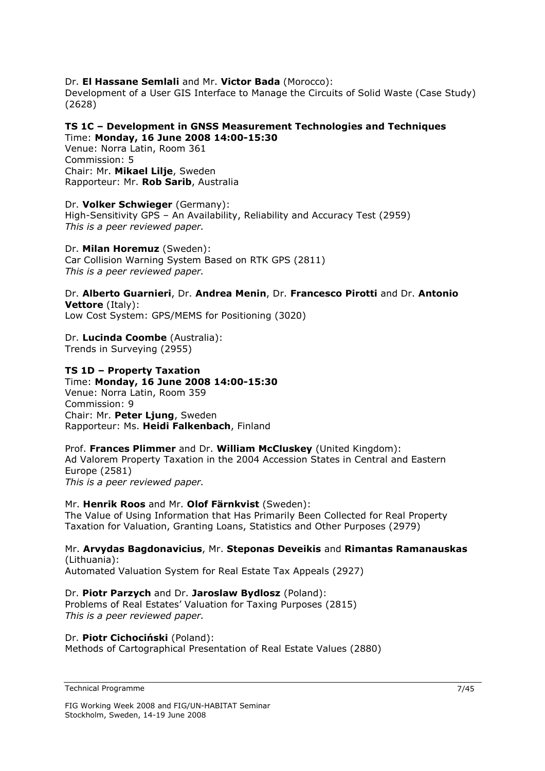### Dr. **El Hassane Semlali** and Mr. **Victor Bada** (Morocco):

Development of a User GIS Interface to Manage the Circuits of Solid Waste (Case Study) (2628)

### **TS 1C – Development in GNSS Measurement Technologies and Techniques**  Time: **Monday, 16 June 2008 14:00-15:30**

Venue: Norra Latin, Room 361 Commission: 5 Chair: Mr. **Mikael Lilje**, Sweden Rapporteur: Mr. **Rob Sarib**, Australia

Dr. **Volker Schwieger** (Germany): High-Sensitivity GPS – An Availability, Reliability and Accuracy Test (2959) *This is a peer reviewed paper.* 

Dr. **Milan Horemuz** (Sweden): Car Collision Warning System Based on RTK GPS (2811) *This is a peer reviewed paper.* 

Dr. **Alberto Guarnieri**, Dr. **Andrea Menin**, Dr. **Francesco Pirotti** and Dr. **Antonio Vettore** (Italy): Low Cost System: GPS/MEMS for Positioning (3020)

#### Dr. **Lucinda Coombe** (Australia): Trends in Surveying (2955)

### **TS 1D – Property Taxation**

Time: **Monday, 16 June 2008 14:00-15:30**  Venue: Norra Latin, Room 359 Commission: 9 Chair: Mr. **Peter Ljung**, Sweden Rapporteur: Ms. **Heidi Falkenbach**, Finland

### Prof. **Frances Plimmer** and Dr. **William McCluskey** (United Kingdom): Ad Valorem Property Taxation in the 2004 Accession States in Central and Eastern Europe (2581) *This is a peer reviewed paper.*

### Mr. **Henrik Roos** and Mr. **Olof Färnkvist** (Sweden):

The Value of Using Information that Has Primarily Been Collected for Real Property Taxation for Valuation, Granting Loans, Statistics and Other Purposes (2979)

Mr. **Arvydas Bagdonavicius**, Mr. **Steponas Deveikis** and **Rimantas Ramanauskas** (Lithuania):

Automated Valuation System for Real Estate Tax Appeals (2927)

### Dr. **Piotr Parzych** and Dr. **Jaroslaw Bydlosz** (Poland):

Problems of Real Estates' Valuation for Taxing Purposes (2815) *This is a peer reviewed paper.* 

### Dr. **Piotr Cichociński** (Poland):

Methods of Cartographical Presentation of Real Estate Values (2880)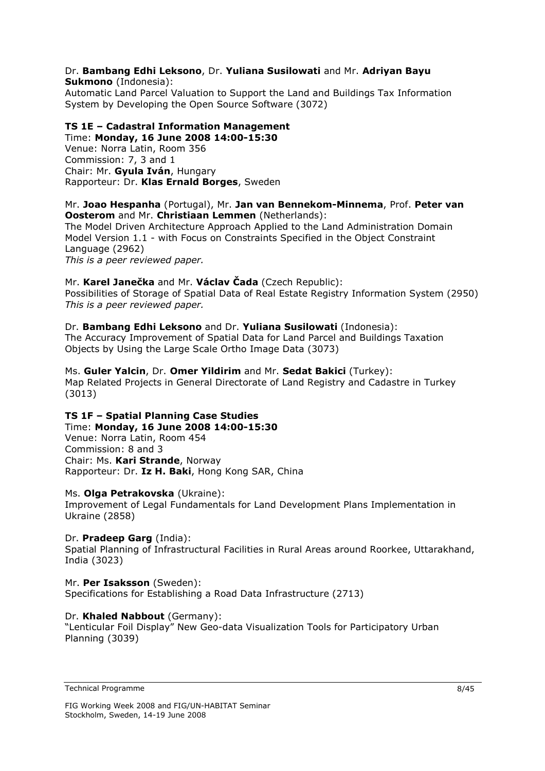### Dr. **Bambang Edhi Leksono**, Dr. **Yuliana Susilowati** and Mr. **Adriyan Bayu Sukmono** (Indonesia):

Automatic Land Parcel Valuation to Support the Land and Buildings Tax Information System by Developing the Open Source Software (3072)

### **TS 1E – Cadastral Information Management**

Time: **Monday, 16 June 2008 14:00-15:30**  Venue: Norra Latin, Room 356 Commission: 7, 3 and 1 Chair: Mr. **Gyula Iván**, Hungary Rapporteur: Dr. **Klas Ernald Borges**, Sweden

### Mr. **Joao Hespanha** (Portugal), Mr. **Jan van Bennekom-Minnema**, Prof. **Peter van Oosterom** and Mr. **Christiaan Lemmen** (Netherlands):

The Model Driven Architecture Approach Applied to the Land Administration Domain Model Version 1.1 - with Focus on Constraints Specified in the Object Constraint Language (2962)

*This is a peer reviewed paper.* 

### Mr. **Karel Janečka** and Mr. **Václav Čada** (Czech Republic):

Possibilities of Storage of Spatial Data of Real Estate Registry Information System (2950) *This is a peer reviewed paper.* 

### Dr. **Bambang Edhi Leksono** and Dr. **Yuliana Susilowati** (Indonesia):

The Accuracy Improvement of Spatial Data for Land Parcel and Buildings Taxation Objects by Using the Large Scale Ortho Image Data (3073)

#### Ms. **Guler Yalcin**, Dr. **Omer Yildirim** and Mr. **Sedat Bakici** (Turkey): Map Related Projects in General Directorate of Land Registry and Cadastre in Turkey (3013)

### **TS 1F – Spatial Planning Case Studies**  Time: **Monday, 16 June 2008 14:00-15:30**

Venue: Norra Latin, Room 454 Commission: 8 and 3 Chair: Ms. **Kari Strande**, Norway Rapporteur: Dr. **Iz H. Baki**, Hong Kong SAR, China

### Ms. **Olga Petrakovska** (Ukraine):

Improvement of Legal Fundamentals for Land Development Plans Implementation in Ukraine (2858)

### Dr. **Pradeep Garg** (India):

Spatial Planning of Infrastructural Facilities in Rural Areas around Roorkee, Uttarakhand, India (3023)

### Mr. **Per Isaksson** (Sweden):

Specifications for Establishing a Road Data Infrastructure (2713)

### Dr. **Khaled Nabbout** (Germany):

"Lenticular Foil Display" New Geo-data Visualization Tools for Participatory Urban Planning (3039)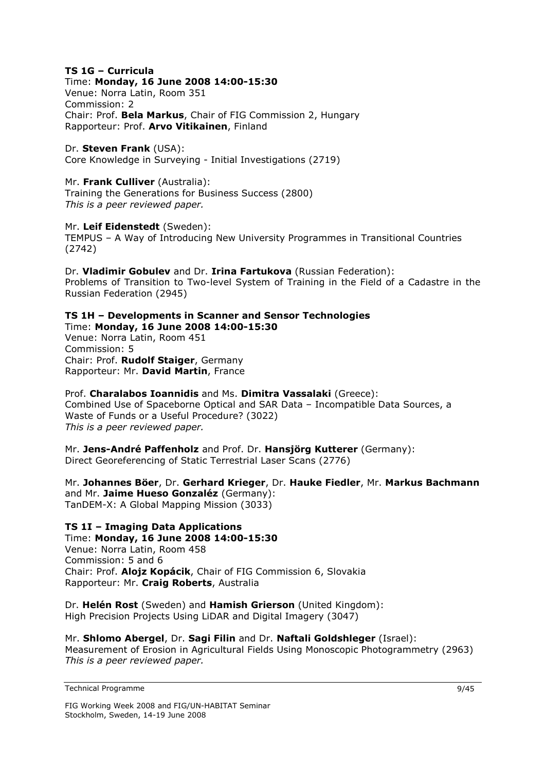### **TS 1G – Curricula**

Time: **Monday, 16 June 2008 14:00-15:30**  Venue: Norra Latin, Room 351 Commission: 2 Chair: Prof. **Bela Markus**, Chair of FIG Commission 2, Hungary Rapporteur: Prof. **Arvo Vitikainen**, Finland

Dr. **Steven Frank** (USA): Core Knowledge in Surveying - Initial Investigations (2719)

### Mr. **Frank Culliver** (Australia):

Training the Generations for Business Success (2800) *This is a peer reviewed paper.* 

### Mr. **Leif Eidenstedt** (Sweden):

TEMPUS – A Way of Introducing New University Programmes in Transitional Countries (2742)

Dr. **Vladimir Gobulev** and Dr. **Irina Fartukova** (Russian Federation): Problems of Transition to Two-level System of Training in the Field of a Cadastre in the Russian Federation (2945)

## **TS 1H – Developments in Scanner and Sensor Technologies**

Time: **Monday, 16 June 2008 14:00-15:30**  Venue: Norra Latin, Room 451 Commission: 5 Chair: Prof. **Rudolf Staiger**, Germany Rapporteur: Mr. **David Martin**, France

Prof. **Charalabos Ioannidis** and Ms. **Dimitra Vassalaki** (Greece): Combined Use of Spaceborne Optical and SAR Data – Incompatible Data Sources, a Waste of Funds or a Useful Procedure? (3022) *This is a peer reviewed paper.* 

Mr. **Jens-André Paffenholz** and Prof. Dr. **Hansjörg Kutterer** (Germany): Direct Georeferencing of Static Terrestrial Laser Scans (2776)

Mr. **Johannes Böer**, Dr. **Gerhard Krieger**, Dr. **Hauke Fiedler**, Mr. **Markus Bachmann** and Mr. **Jaime Hueso Gonzaléz** (Germany): TanDEM-X: A Global Mapping Mission (3033)

**TS 1I – Imaging Data Applications**  Time: **Monday, 16 June 2008 14:00-15:30**  Venue: Norra Latin, Room 458 Commission: 5 and 6 Chair: Prof. **Alojz Kopácik**, Chair of FIG Commission 6, Slovakia Rapporteur: Mr. **Craig Roberts**, Australia

Dr. **Helén Rost** (Sweden) and **Hamish Grierson** (United Kingdom): High Precision Projects Using LiDAR and Digital Imagery (3047)

Mr. **Shlomo Abergel**, Dr. **Sagi Filin** and Dr. **Naftali Goldshleger** (Israel): Measurement of Erosion in Agricultural Fields Using Monoscopic Photogrammetry (2963) *This is a peer reviewed paper.* 

Technical Programme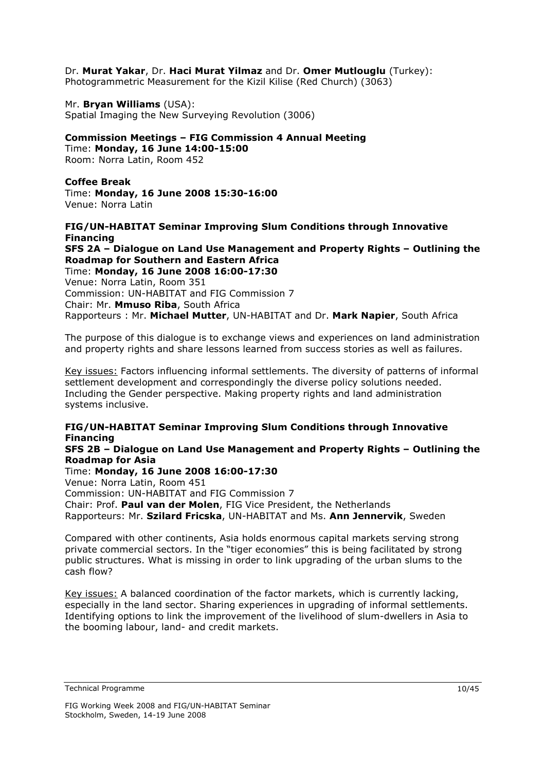Dr. **Murat Yakar**, Dr. **Haci Murat Yilmaz** and Dr. **Omer Mutlouglu** (Turkey):

Photogrammetric Measurement for the Kizil Kilise (Red Church) (3063)

Mr. **Bryan Williams** (USA): Spatial Imaging the New Surveying Revolution (3006)

### **Commission Meetings – FIG Commission 4 Annual Meeting**

Time: **Monday, 16 June 14:00-15:00**  Room: Norra Latin, Room 452

### **Coffee Break**

Time: **Monday, 16 June 2008 15:30-16:00**  Venue: Norra Latin

### **FIG/UN-HABITAT Seminar Improving Slum Conditions through Innovative Financing**

**SFS 2A – Dialogue on Land Use Management and Property Rights – Outlining the Roadmap for Southern and Eastern Africa**  Time: **Monday, 16 June 2008 16:00-17:30** 

Venue: Norra Latin, Room 351 Commission: UN-HABITAT and FIG Commission 7 Chair: Mr. **Mmuso Riba**, South Africa Rapporteurs : Mr. **Michael Mutter**, UN-HABITAT and Dr. **Mark Napier**, South Africa

The purpose of this dialogue is to exchange views and experiences on land administration and property rights and share lessons learned from success stories as well as failures.

Key issues: Factors influencing informal settlements. The diversity of patterns of informal settlement development and correspondingly the diverse policy solutions needed. Including the Gender perspective. Making property rights and land administration systems inclusive.

### **FIG/UN-HABITAT Seminar Improving Slum Conditions through Innovative Financing**

### **SFS 2B – Dialogue on Land Use Management and Property Rights – Outlining the Roadmap for Asia**

Time: **Monday, 16 June 2008 16:00-17:30**  Venue: Norra Latin, Room 451 Commission: UN-HABITAT and FIG Commission 7 Chair: Prof. **Paul van der Molen**, FIG Vice President, the Netherlands Rapporteurs: Mr. **Szilard Fricska**, UN-HABITAT and Ms. **Ann Jennervik**, Sweden

Compared with other continents, Asia holds enormous capital markets serving strong private commercial sectors. In the "tiger economies" this is being facilitated by strong public structures. What is missing in order to link upgrading of the urban slums to the cash flow?

Key issues: A balanced coordination of the factor markets, which is currently lacking, especially in the land sector. Sharing experiences in upgrading of informal settlements. Identifying options to link the improvement of the livelihood of slum-dwellers in Asia to the booming labour, land- and credit markets.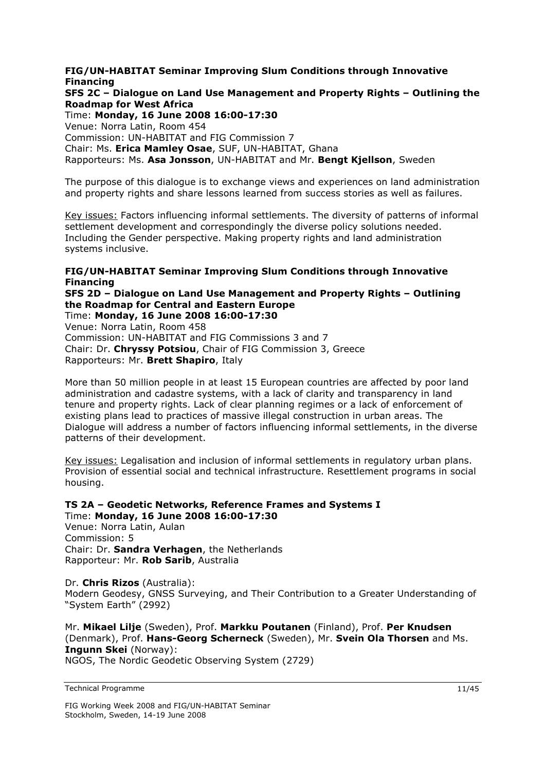**FIG/UN-HABITAT Seminar Improving Slum Conditions through Innovative Financing SFS 2C – Dialogue on Land Use Management and Property Rights – Outlining the Roadmap for West Africa** 

Time: **Monday, 16 June 2008 16:00-17:30**  Venue: Norra Latin, Room 454 Commission: UN-HABITAT and FIG Commission 7 Chair: Ms. **Erica Mamley Osae**, SUF, UN-HABITAT, Ghana Rapporteurs: Ms. **Asa Jonsson**, UN-HABITAT and Mr. **Bengt Kjellson**, Sweden

The purpose of this dialogue is to exchange views and experiences on land administration and property rights and share lessons learned from success stories as well as failures.

Key issues: Factors influencing informal settlements. The diversity of patterns of informal settlement development and correspondingly the diverse policy solutions needed. Including the Gender perspective. Making property rights and land administration systems inclusive.

### **FIG/UN-HABITAT Seminar Improving Slum Conditions through Innovative Financing**

**SFS 2D – Dialogue on Land Use Management and Property Rights – Outlining the Roadmap for Central and Eastern Europe** 

Time: **Monday, 16 June 2008 16:00-17:30**  Venue: Norra Latin, Room 458 Commission: UN-HABITAT and FIG Commissions 3 and 7 Chair: Dr. **Chryssy Potsiou**, Chair of FIG Commission 3, Greece Rapporteurs: Mr. **Brett Shapiro**, Italy

More than 50 million people in at least 15 European countries are affected by poor land administration and cadastre systems, with a lack of clarity and transparency in land tenure and property rights. Lack of clear planning regimes or a lack of enforcement of existing plans lead to practices of massive illegal construction in urban areas. The Dialogue will address a number of factors influencing informal settlements, in the diverse patterns of their development.

Key issues: Legalisation and inclusion of informal settlements in regulatory urban plans. Provision of essential social and technical infrastructure. Resettlement programs in social housing.

### **TS 2A – Geodetic Networks, Reference Frames and Systems I**  Time: **Monday, 16 June 2008 16:00-17:30**

Venue: Norra Latin, Aulan Commission: 5 Chair: Dr. **Sandra Verhagen**, the Netherlands Rapporteur: Mr. **Rob Sarib**, Australia

Dr. **Chris Rizos** (Australia): Modern Geodesy, GNSS Surveying, and Their Contribution to a Greater Understanding of "System Earth" (2992)

Mr. **Mikael Lilje** (Sweden), Prof. **Markku Poutanen** (Finland), Prof. **Per Knudsen**  (Denmark), Prof. **Hans-Georg Scherneck** (Sweden), Mr. **Svein Ola Thorsen** and Ms. **Ingunn Skei** (Norway):

NGOS, The Nordic Geodetic Observing System (2729)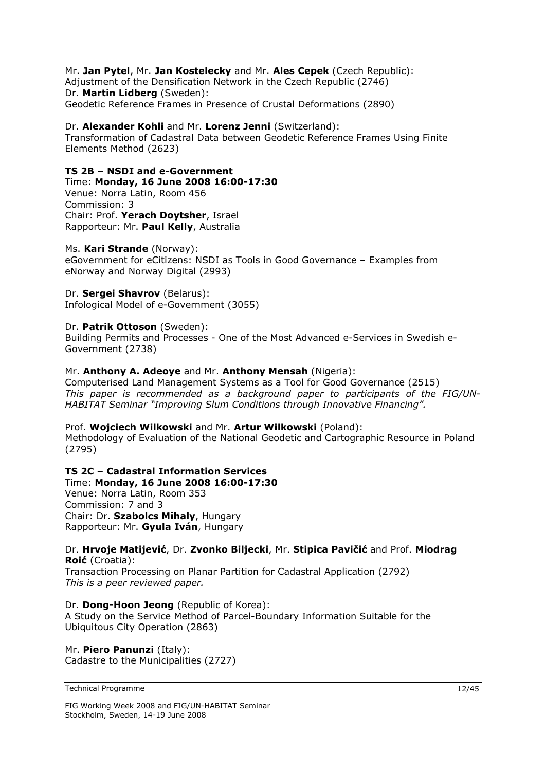### Mr. **Jan Pytel**, Mr. **Jan Kostelecky** and Mr. **Ales Cepek** (Czech Republic):

Adjustment of the Densification Network in the Czech Republic (2746) Dr. **Martin Lidberg** (Sweden): Geodetic Reference Frames in Presence of Crustal Deformations (2890)

### Dr. **Alexander Kohli** and Mr. **Lorenz Jenni** (Switzerland):

Transformation of Cadastral Data between Geodetic Reference Frames Using Finite Elements Method (2623)

### **TS 2B – NSDI and e-Government**

Time: **Monday, 16 June 2008 16:00-17:30** 

Venue: Norra Latin, Room 456 Commission: 3 Chair: Prof. **Yerach Doytsher**, Israel Rapporteur: Mr. **Paul Kelly**, Australia

### Ms. **Kari Strande** (Norway):

eGovernment for eCitizens: NSDI as Tools in Good Governance – Examples from eNorway and Norway Digital (2993)

### Dr. **Sergei Shavrov** (Belarus):

Infological Model of e-Government (3055)

### Dr. **Patrik Ottoson** (Sweden):

Building Permits and Processes - One of the Most Advanced e-Services in Swedish e-Government (2738)

### Mr. **Anthony A. Adeoye** and Mr. **Anthony Mensah** (Nigeria):

Computerised Land Management Systems as a Tool for Good Governance (2515) *This paper is recommended as a background paper to participants of the FIG/UN-HABITAT Seminar "Improving Slum Conditions through Innovative Financing".* 

### Prof. **Wojciech Wilkowski** and Mr. **Artur Wilkowski** (Poland):

Methodology of Evaluation of the National Geodetic and Cartographic Resource in Poland (2795)

### **TS 2C – Cadastral Information Services**

Time: **Monday, 16 June 2008 16:00-17:30**  Venue: Norra Latin, Room 353 Commission: 7 and 3 Chair: Dr. **Szabolcs Mihaly**, Hungary Rapporteur: Mr. **Gyula Iván**, Hungary

### Dr. **Hrvoje Matijević**, Dr. **Zvonko Biljecki**, Mr. **Stipica Pavičić** and Prof. **Miodrag Roić** (Croatia):

Transaction Processing on Planar Partition for Cadastral Application (2792) *This is a peer reviewed paper.* 

### Dr. **Dong-Hoon Jeong** (Republic of Korea):

A Study on the Service Method of Parcel-Boundary Information Suitable for the Ubiquitous City Operation (2863)

### Mr. **Piero Panunzi** (Italy): Cadastre to the Municipalities (2727)

Technical Programme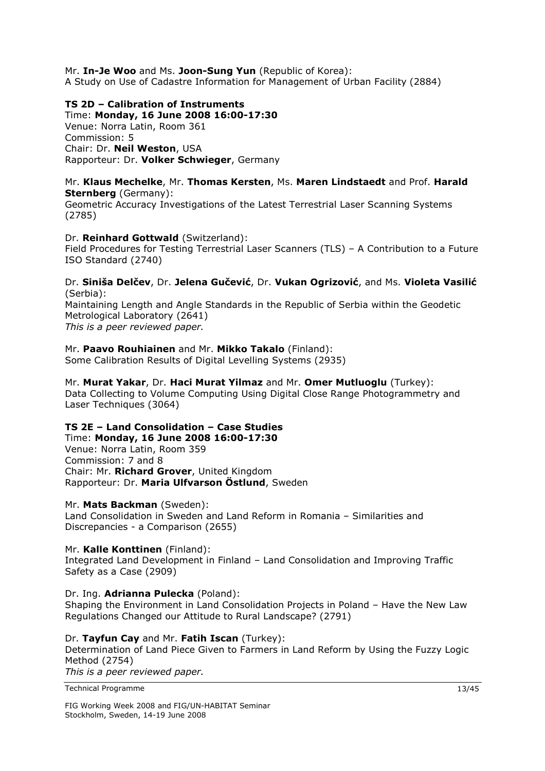Mr. **In-Je Woo** and Ms. **Joon-Sung Yun** (Republic of Korea): A Study on Use of Cadastre Information for Management of Urban Facility (2884)

### **TS 2D – Calibration of Instruments**

Time: **Monday, 16 June 2008 16:00-17:30**  Venue: Norra Latin, Room 361 Commission: 5 Chair: Dr. **Neil Weston**, USA Rapporteur: Dr. **Volker Schwieger**, Germany

### Mr. **Klaus Mechelke**, Mr. **Thomas Kersten**, Ms. **Maren Lindstaedt** and Prof. **Harald Sternberg** (Germany):

Geometric Accuracy Investigations of the Latest Terrestrial Laser Scanning Systems (2785)

### Dr. **Reinhard Gottwald** (Switzerland):

Field Procedures for Testing Terrestrial Laser Scanners (TLS) – A Contribution to a Future ISO Standard (2740)

### Dr. **Siniša Delčev**, Dr. **Jelena Gučević**, Dr. **Vukan Ogrizović**, and Ms. **Violeta Vasilić** (Serbia):

Maintaining Length and Angle Standards in the Republic of Serbia within the Geodetic Metrological Laboratory (2641)

*This is a peer reviewed paper.* 

### Mr. **Paavo Rouhiainen** and Mr. **Mikko Takalo** (Finland):

Some Calibration Results of Digital Levelling Systems (2935)

#### Mr. **Murat Yakar**, Dr. **Haci Murat Yilmaz** and Mr. **Omer Mutluoglu** (Turkey): Data Collecting to Volume Computing Using Digital Close Range Photogrammetry and

Laser Techniques (3064)

### **TS 2E – Land Consolidation – Case Studies**

Time: **Monday, 16 June 2008 16:00-17:30**  Venue: Norra Latin, Room 359 Commission: 7 and 8 Chair: Mr. **Richard Grover**, United Kingdom Rapporteur: Dr. **Maria Ulfvarson Östlund**, Sweden

### Mr. **Mats Backman** (Sweden):

Land Consolidation in Sweden and Land Reform in Romania – Similarities and Discrepancies - a Comparison (2655)

### Mr. **Kalle Konttinen** (Finland):

Integrated Land Development in Finland – Land Consolidation and Improving Traffic Safety as a Case (2909)

### Dr. Ing. **Adrianna Pulecka** (Poland):

Shaping the Environment in Land Consolidation Projects in Poland – Have the New Law Regulations Changed our Attitude to Rural Landscape? (2791)

### Dr. **Tayfun Cay** and Mr. **Fatih Iscan** (Turkey):

Determination of Land Piece Given to Farmers in Land Reform by Using the Fuzzy Logic Method (2754) *This is a peer reviewed paper.*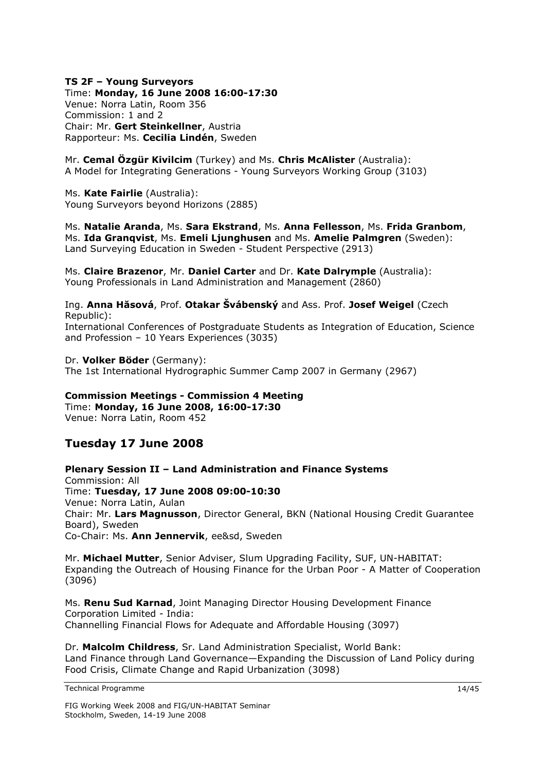#### **TS 2F – Young Surveyors**  Time: **Monday, 16 June 2008 16:00-17:30**

Venue: Norra Latin, Room 356 Commission: 1 and 2 Chair: Mr. **Gert Steinkellner**, Austria Rapporteur: Ms. **Cecilia Lindén**, Sweden

Mr. **Cemal Özgür Kivilcim** (Turkey) and Ms. **Chris McAlister** (Australia): A Model for Integrating Generations - Young Surveyors Working Group (3103)

Ms. **Kate Fairlie** (Australia): Young Surveyors beyond Horizons (2885)

Ms. **Natalie Aranda**, Ms. **Sara Ekstrand**, Ms. **Anna Fellesson**, Ms. **Frida Granbom**, Ms. **Ida Granqvist**, Ms. **Emeli Ljunghusen** and Ms. **Amelie Palmgren** (Sweden): Land Surveying Education in Sweden - Student Perspective (2913)

Ms. **Claire Brazenor**, Mr. **Daniel Carter** and Dr. **Kate Dalrymple** (Australia): Young Professionals in Land Administration and Management (2860)

Ing. **Anna Hăsová**, Prof. **Otakar Švábenský** and Ass. Prof. **Josef Weigel** (Czech Republic): International Conferences of Postgraduate Students as Integration of Education, Science and Profession – 10 Years Experiences (3035)

Dr. **Volker Böder** (Germany): The 1st International Hydrographic Summer Camp 2007 in Germany (2967)

#### **Commission Meetings - Commission 4 Meeting**  Time: **Monday, 16 June 2008, 16:00-17:30**

Venue: Norra Latin, Room 452

### **Tuesday 17 June 2008**

**Plenary Session II – Land Administration and Finance Systems** Commission: All Time: **Tuesday, 17 June 2008 09:00-10:30**  Venue: Norra Latin, Aulan Chair: Mr. **Lars Magnusson**, Director General, BKN (National Housing Credit Guarantee Board), Sweden Co-Chair: Ms. **Ann Jennervik**, ee&sd, Sweden

Mr. **Michael Mutter**, Senior Adviser, Slum Upgrading Facility, SUF, UN-HABITAT: Expanding the Outreach of Housing Finance for the Urban Poor - A Matter of Cooperation (3096)

Ms. **Renu Sud Karnad**, Joint Managing Director Housing Development Finance Corporation Limited - India: Channelling Financial Flows for Adequate and Affordable Housing (3097)

Dr. **Malcolm Childress**, Sr. Land Administration Specialist, World Bank: Land Finance through Land Governance—Expanding the Discussion of Land Policy during Food Crisis, Climate Change and Rapid Urbanization (3098)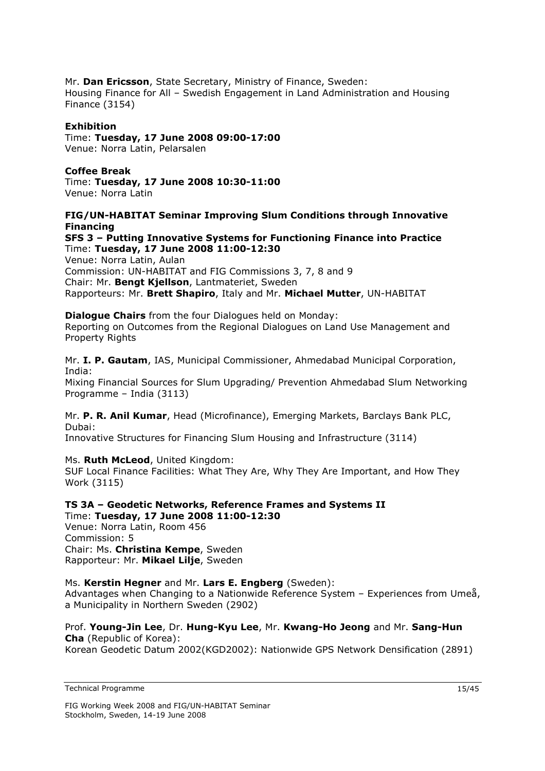Mr. **Dan Ericsson**, State Secretary, Ministry of Finance, Sweden: Housing Finance for All – Swedish Engagement in Land Administration and Housing Finance (3154)

### **Exhibition**

Time: **Tuesday, 17 June 2008 09:00-17:00** Venue: Norra Latin, Pelarsalen

### **Coffee Break**

Time: **Tuesday, 17 June 2008 10:30-11:00**  Venue: Norra Latin

### **FIG/UN-HABITAT Seminar Improving Slum Conditions through Innovative Financing**

### **SFS 3 – Putting Innovative Systems for Functioning Finance into Practice**  Time: **Tuesday, 17 June 2008 11:00-12:30**

Venue: Norra Latin, Aulan Commission: UN-HABITAT and FIG Commissions 3, 7, 8 and 9 Chair: Mr. **Bengt Kjellson**, Lantmateriet, Sweden Rapporteurs: Mr. **Brett Shapiro**, Italy and Mr. **Michael Mutter**, UN-HABITAT

**Dialogue Chairs** from the four Dialogues held on Monday: Reporting on Outcomes from the Regional Dialogues on Land Use Management and Property Rights

Mr. **I. P. Gautam**, IAS, Municipal Commissioner, Ahmedabad Municipal Corporation, India: Mixing Financial Sources for Slum Upgrading/ Prevention Ahmedabad Slum Networking Programme – India (3113)

Mr. **P. R. Anil Kumar**, Head (Microfinance), Emerging Markets, Barclays Bank PLC, Dubai:

Innovative Structures for Financing Slum Housing and Infrastructure (3114)

Ms. **Ruth McLeod**, United Kingdom: SUF Local Finance Facilities: What They Are, Why They Are Important, and How They Work (3115)

### **TS 3A – Geodetic Networks, Reference Frames and Systems II**  Time: **Tuesday, 17 June 2008 11:00-12:30**

Venue: Norra Latin, Room 456 Commission: 5 Chair: Ms. **Christina Kempe**, Sweden Rapporteur: Mr. **Mikael Lilje**, Sweden

### Ms. **Kerstin Hegner** and Mr. **Lars E. Engberg** (Sweden):

Advantages when Changing to a Nationwide Reference System – Experiences from Umeå, a Municipality in Northern Sweden (2902)

Prof. **Young-Jin Lee**, Dr. **Hung-Kyu Lee**, Mr. **Kwang-Ho Jeong** and Mr. **Sang-Hun Cha** (Republic of Korea): Korean Geodetic Datum 2002(KGD2002): Nationwide GPS Network Densification (2891)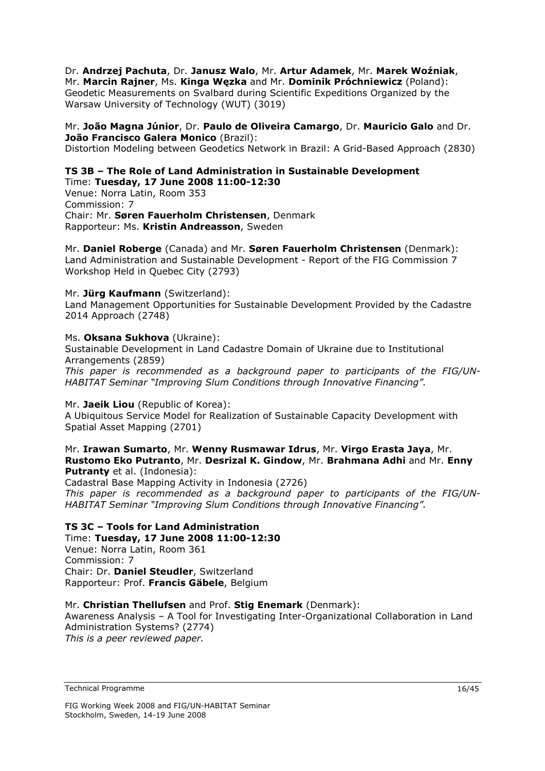Dr. **Andrzej Pachuta**, Dr. **Janusz Walo**, Mr. **Artur Adamek**, Mr. **Marek Woźniak**, Mr. **Marcin Rajner**, Ms. **Kinga Węzka** and Mr. **Dominik Próchniewicz** (Poland): Geodetic Measurements on Svalbard during Scientific Expeditions Organized by the Warsaw University of Technology (WUT) (3019)

### Mr. **João Magna Júnior**, Dr. **Paulo de Oliveira Camargo**, Dr. **Mauricio Galo** and Dr. **João Francisco Galera Monico** (Brazil):

Distortion Modeling between Geodetics Network in Brazil: A Grid-Based Approach (2830)

### **TS 3B – The Role of Land Administration in Sustainable Development**  Time: **Tuesday, 17 June 2008 11:00-12:30**

Venue: Norra Latin, Room 353 Commission: 7 Chair: Mr. **Søren Fauerholm Christensen**, Denmark Rapporteur: Ms. **Kristin Andreasson**, Sweden

Mr. **Daniel Roberge** (Canada) and Mr. **Søren Fauerholm Christensen** (Denmark): Land Administration and Sustainable Development - Report of the FIG Commission 7 Workshop Held in Quebec City (2793)

### Mr. **Jürg Kaufmann** (Switzerland):

Land Management Opportunities for Sustainable Development Provided by the Cadastre 2014 Approach (2748)

### Ms. **Oksana Sukhova** (Ukraine):

Sustainable Development in Land Cadastre Domain of Ukraine due to Institutional Arrangements (2859)

*This paper is recommended as a background paper to participants of the FIG/UN-HABITAT Seminar "Improving Slum Conditions through Innovative Financing".* 

### Mr. **Jaeik Liou** (Republic of Korea):

A Ubiquitous Service Model for Realization of Sustainable Capacity Development with Spatial Asset Mapping (2701)

### Mr. **Irawan Sumarto**, Mr. **Wenny Rusmawar Idrus**, Mr. **Virgo Erasta Jaya**, Mr. **Rustomo Eko Putranto**, Mr. **Desrizal K. Gindow**, Mr. **Brahmana Adhi** and Mr. **Enny Putranty** et al. (Indonesia):

Cadastral Base Mapping Activity in Indonesia (2726) *This paper is recommended as a background paper to participants of the FIG/UN-HABITAT Seminar "Improving Slum Conditions through Innovative Financing".* 

### **TS 3C – Tools for Land Administration**

Time: **Tuesday, 17 June 2008 11:00-12:30**  Venue: Norra Latin, Room 361 Commission: 7 Chair: Dr. **Daniel Steudler**, Switzerland Rapporteur: Prof. **Francis Gäbele**, Belgium

### Mr. **Christian Thellufsen** and Prof. **Stig Enemark** (Denmark):

Awareness Analysis – A Tool for Investigating Inter-Organizational Collaboration in Land Administration Systems? (2774) *This is a peer reviewed paper.*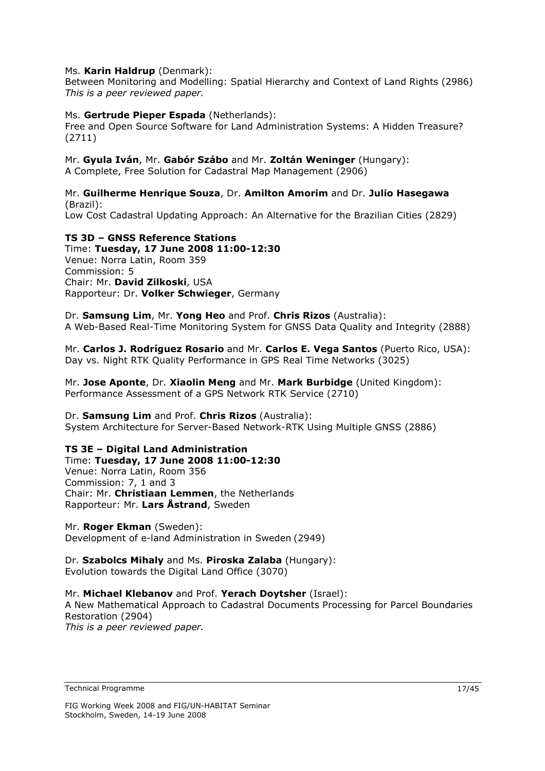### Ms. **Karin Haldrup** (Denmark):

Between Monitoring and Modelling: Spatial Hierarchy and Context of Land Rights (2986) *This is a peer reviewed paper.* 

### Ms. **Gertrude Pieper Espada** (Netherlands):

Free and Open Source Software for Land Administration Systems: A Hidden Treasure? (2711)

### Mr. **Gyula Iván**, Mr. **Gabór Szábo** and Mr. **Zoltán Weninger** (Hungary):

A Complete, Free Solution for Cadastral Map Management (2906)

### Mr. **Guilherme Henrique Souza**, Dr. **Amilton Amorim** and Dr. **Julio Hasegawa**  (Brazil):

Low Cost Cadastral Updating Approach: An Alternative for the Brazilian Cities (2829)

### **TS 3D – GNSS Reference Stations**

Time: **Tuesday, 17 June 2008 11:00-12:30**  Venue: Norra Latin, Room 359 Commission: 5 Chair: Mr. **David Zilkoski**, USA Rapporteur: Dr. **Volker Schwieger**, Germany

Dr. **Samsung Lim**, Mr. **Yong Heo** and Prof. **Chris Rizos** (Australia): A Web-Based Real-Time Monitoring System for GNSS Data Quality and Integrity (2888)

Mr. **Carlos J. Rodríguez Rosario** and Mr. **Carlos E. Vega Santos** (Puerto Rico, USA): Day vs. Night RTK Quality Performance in GPS Real Time Networks (3025)

Mr. **Jose Aponte**, Dr. **Xiaolin Meng** and Mr. **Mark Burbidge** (United Kingdom): Performance Assessment of a GPS Network RTK Service (2710)

Dr. **Samsung Lim** and Prof. **Chris Rizos** (Australia): System Architecture for Server-Based Network-RTK Using Multiple GNSS (2886)

### **TS 3E – Digital Land Administration**

Time: **Tuesday, 17 June 2008 11:00-12:30**  Venue: Norra Latin, Room 356 Commission: 7, 1 and 3 Chair: Mr. **Christiaan Lemmen**, the Netherlands Rapporteur: Mr. **Lars Åstrand**, Sweden

Mr. **Roger Ekman** (Sweden): Development of e-land Administration in Sweden (2949)

Dr. **Szabolcs Mihaly** and Ms. **Piroska Zalaba** (Hungary): Evolution towards the Digital Land Office (3070)

### Mr. **Michael Klebanov** and Prof. **Yerach Doytsher** (Israel):

A New Mathematical Approach to Cadastral Documents Processing for Parcel Boundaries Restoration (2904) *This is a peer reviewed paper.*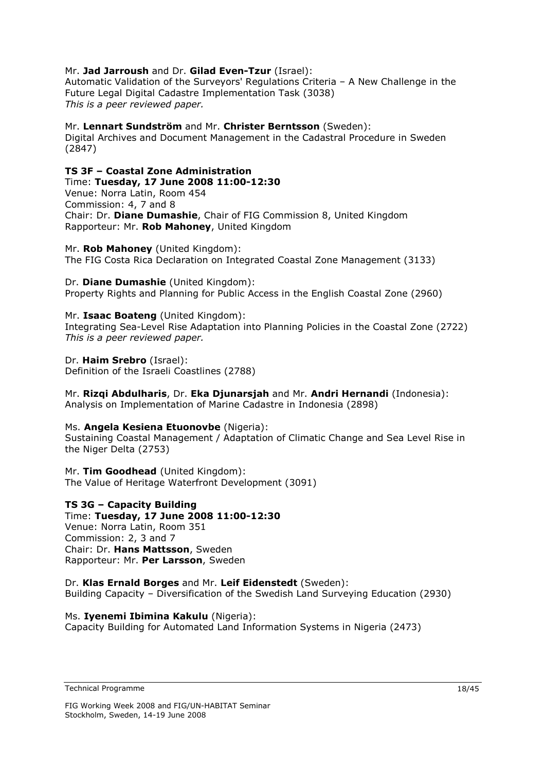### Mr. **Jad Jarroush** and Dr. **Gilad Even-Tzur** (Israel):

Automatic Validation of the Surveyors' Regulations Criteria – A New Challenge in the Future Legal Digital Cadastre Implementation Task (3038) *This is a peer reviewed paper.* 

Mr. **Lennart Sundström** and Mr. **Christer Berntsson** (Sweden): Digital Archives and Document Management in the Cadastral Procedure in Sweden (2847)

### **TS 3F – Coastal Zone Administration**

Time: **Tuesday, 17 June 2008 11:00-12:30**  Venue: Norra Latin, Room 454 Commission: 4, 7 and 8 Chair: Dr. **Diane Dumashie**, Chair of FIG Commission 8, United Kingdom Rapporteur: Mr. **Rob Mahoney**, United Kingdom

Mr. **Rob Mahoney** (United Kingdom): The FIG Costa Rica Declaration on Integrated Coastal Zone Management (3133)

Dr. **Diane Dumashie** (United Kingdom): Property Rights and Planning for Public Access in the English Coastal Zone (2960)

Mr. **Isaac Boateng** (United Kingdom): Integrating Sea-Level Rise Adaptation into Planning Policies in the Coastal Zone (2722) *This is a peer reviewed paper.* 

Dr. **Haim Srebro** (Israel): Definition of the Israeli Coastlines (2788)

Mr. **Rizqi Abdulharis**, Dr. **Eka Djunarsjah** and Mr. **Andri Hernandi** (Indonesia): Analysis on Implementation of Marine Cadastre in Indonesia (2898)

### Ms. **Angela Kesiena Etuonovbe** (Nigeria):

Sustaining Coastal Management / Adaptation of Climatic Change and Sea Level Rise in the Niger Delta (2753)

Mr. **Tim Goodhead** (United Kingdom): The Value of Heritage Waterfront Development (3091)

### **TS 3G – Capacity Building**

Time: **Tuesday, 17 June 2008 11:00-12:30**  Venue: Norra Latin, Room 351 Commission: 2, 3 and 7 Chair: Dr. **Hans Mattsson**, Sweden Rapporteur: Mr. **Per Larsson**, Sweden

Dr. **Klas Ernald Borges** and Mr. **Leif Eidenstedt** (Sweden): Building Capacity – Diversification of the Swedish Land Surveying Education (2930)

### Ms. **Iyenemi Ibimina Kakulu** (Nigeria):

Capacity Building for Automated Land Information Systems in Nigeria (2473)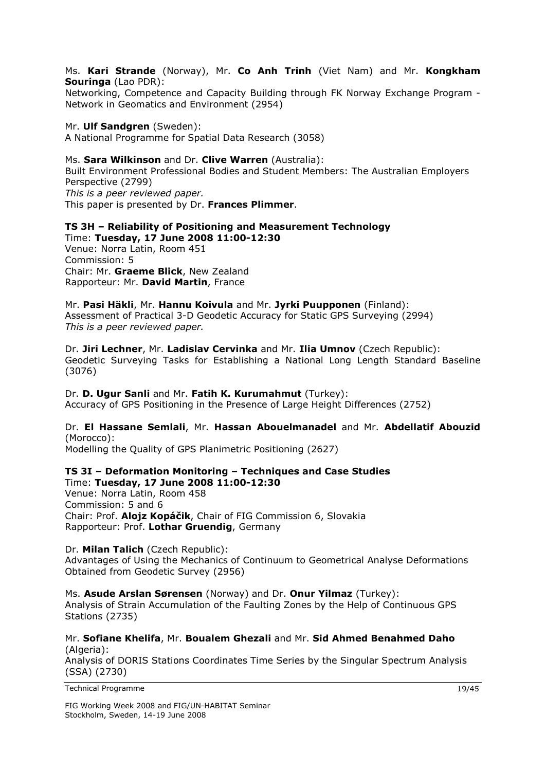Ms. **Kari Strande** (Norway), Mr. **Co Anh Trinh** (Viet Nam) and Mr. **Kongkham Souringa** (Lao PDR):

Networking, Competence and Capacity Building through FK Norway Exchange Program - Network in Geomatics and Environment (2954)

### Mr. **Ulf Sandgren** (Sweden):

A National Programme for Spatial Data Research (3058)

### Ms. **Sara Wilkinson** and Dr. **Clive Warren** (Australia):

Built Environment Professional Bodies and Student Members: The Australian Employers Perspective (2799) *This is a peer reviewed paper.* 

This paper is presented by Dr. **Frances Plimmer**.

#### **TS 3H – Reliability of Positioning and Measurement Technology**  Time: **Tuesday, 17 June 2008 11:00-12:30**  Venue: Norra Latin, Room 451 Commission: 5 Chair: Mr. **Graeme Blick**, New Zealand Rapporteur: Mr. **David Martin**, France

Mr. **Pasi Häkli**, Mr. **Hannu Koivula** and Mr. **Jyrki Puupponen** (Finland): Assessment of Practical 3-D Geodetic Accuracy for Static GPS Surveying (2994) *This is a peer reviewed paper.* 

Dr. **Jiri Lechner**, Mr. **Ladislav Cervinka** and Mr. **Ilia Umnov** (Czech Republic): Geodetic Surveying Tasks for Establishing a National Long Length Standard Baseline (3076)

### Dr. **D. Ugur Sanli** and Mr. **Fatih K. Kurumahmut** (Turkey):

Accuracy of GPS Positioning in the Presence of Large Height Differences (2752)

### Dr. **El Hassane Semlali**, Mr. **Hassan Abouelmanadel** and Mr. **Abdellatif Abouzid** (Morocco):

Modelling the Quality of GPS Planimetric Positioning (2627)

## **TS 3I – Deformation Monitoring – Techniques and Case Studies**

Time: **Tuesday, 17 June 2008 11:00-12:30**  Venue: Norra Latin, Room 458 Commission: 5 and 6 Chair: Prof. **Alojz Kopáčik**, Chair of FIG Commission 6, Slovakia Rapporteur: Prof. **Lothar Gruendig**, Germany

#### Dr. **Milan Talich** (Czech Republic): Advantages of Using the Mechanics of Continuum to Geometrical Analyse Deformations Obtained from Geodetic Survey (2956)

Ms. **Asude Arslan Sørensen** (Norway) and Dr. **Onur Yilmaz** (Turkey): Analysis of Strain Accumulation of the Faulting Zones by the Help of Continuous GPS Stations (2735)

Mr. **Sofiane Khelifa**, Mr. **Boualem Ghezali** and Mr. **Sid Ahmed Benahmed Daho** (Algeria):

Analysis of DORIS Stations Coordinates Time Series by the Singular Spectrum Analysis (SSA) (2730)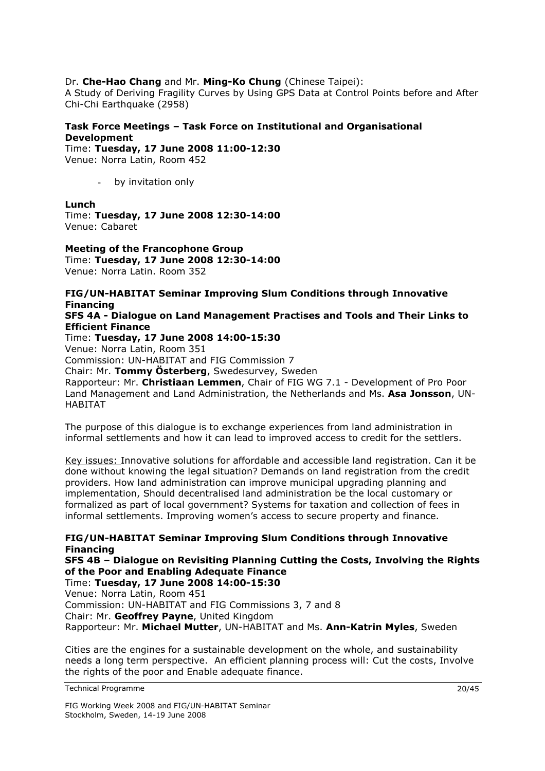### Dr. **Che-Hao Chang** and Mr. **Ming-Ko Chung** (Chinese Taipei):

A Study of Deriving Fragility Curves by Using GPS Data at Control Points before and After Chi-Chi Earthquake (2958)

### **Task Force Meetings – Task Force on Institutional and Organisational Development**

Time: **Tuesday, 17 June 2008 11:00-12:30**  Venue: Norra Latin, Room 452

- by invitation only

### **Lunch**

Time: **Tuesday, 17 June 2008 12:30-14:00**  Venue: Cabaret

**Meeting of the Francophone Group**  Time: **Tuesday, 17 June 2008 12:30-14:00**  Venue: Norra Latin. Room 352

### **FIG/UN-HABITAT Seminar Improving Slum Conditions through Innovative Financing**

### **SFS 4A - Dialogue on Land Management Practises and Tools and Their Links to Efficient Finance**

Time: **Tuesday, 17 June 2008 14:00-15:30** 

Venue: Norra Latin, Room 351

Commission: UN-HABITAT and FIG Commission 7

Chair: Mr. **Tommy Österberg**, Swedesurvey, Sweden

Rapporteur: Mr. **Christiaan Lemmen**, Chair of FIG WG 7.1 - Development of Pro Poor Land Management and Land Administration, the Netherlands and Ms. **Asa Jonsson**, UN-HABITAT

The purpose of this dialogue is to exchange experiences from land administration in informal settlements and how it can lead to improved access to credit for the settlers.

Key issues: Innovative solutions for affordable and accessible land registration. Can it be done without knowing the legal situation? Demands on land registration from the credit providers. How land administration can improve municipal upgrading planning and implementation, Should decentralised land administration be the local customary or formalized as part of local government? Systems for taxation and collection of fees in informal settlements. Improving women's access to secure property and finance.

**FIG/UN-HABITAT Seminar Improving Slum Conditions through Innovative Financing** 

**SFS 4B – Dialogue on Revisiting Planning Cutting the Costs, Involving the Rights of the Poor and Enabling Adequate Finance** 

Time: **Tuesday, 17 June 2008 14:00-15:30**  Venue: Norra Latin, Room 451

Commission: UN-HABITAT and FIG Commissions 3, 7 and 8 Chair: Mr. **Geoffrey Payne**, United Kingdom

Rapporteur: Mr. **Michael Mutter**, UN-HABITAT and Ms. **Ann-Katrin Myles**, Sweden

Cities are the engines for a sustainable development on the whole, and sustainability needs a long term perspective. An efficient planning process will: Cut the costs, Involve the rights of the poor and Enable adequate finance.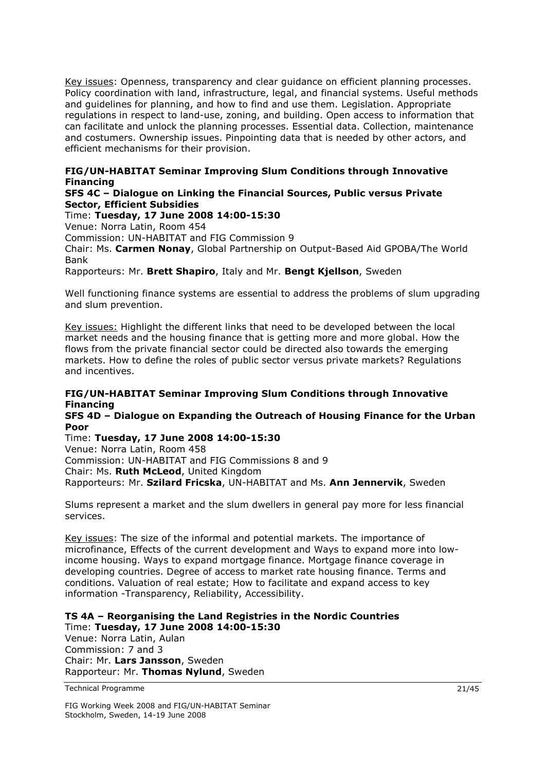Key issues: Openness, transparency and clear guidance on efficient planning processes. Policy coordination with land, infrastructure, legal, and financial systems. Useful methods and guidelines for planning, and how to find and use them. Legislation. Appropriate regulations in respect to land-use, zoning, and building. Open access to information that can facilitate and unlock the planning processes. Essential data. Collection, maintenance and costumers. Ownership issues. Pinpointing data that is needed by other actors, and efficient mechanisms for their provision.

### **FIG/UN-HABITAT Seminar Improving Slum Conditions through Innovative Financing**

### **SFS 4C – Dialogue on Linking the Financial Sources, Public versus Private Sector, Efficient Subsidies**

### Time: **Tuesday, 17 June 2008 14:00-15:30**

Venue: Norra Latin, Room 454

Commission: UN-HABITAT and FIG Commission 9

Chair: Ms. **Carmen Nonay**, Global Partnership on Output-Based Aid GPOBA/The World Bank

Rapporteurs: Mr. **Brett Shapiro**, Italy and Mr. **Bengt Kjellson**, Sweden

Well functioning finance systems are essential to address the problems of slum upgrading and slum prevention.

Key issues: Highlight the different links that need to be developed between the local market needs and the housing finance that is getting more and more global. How the flows from the private financial sector could be directed also towards the emerging markets. How to define the roles of public sector versus private markets? Regulations and incentives.

### **FIG/UN-HABITAT Seminar Improving Slum Conditions through Innovative Financing**

**SFS 4D – Dialogue on Expanding the Outreach of Housing Finance for the Urban Poor** 

Time: **Tuesday, 17 June 2008 14:00-15:30** 

Venue: Norra Latin, Room 458 Commission: UN-HABITAT and FIG Commissions 8 and 9 Chair: Ms. **Ruth McLeod**, United Kingdom Rapporteurs: Mr. **Szilard Fricska**, UN-HABITAT and Ms. **Ann Jennervik**, Sweden

Slums represent a market and the slum dwellers in general pay more for less financial services.

Key issues: The size of the informal and potential markets. The importance of microfinance, Effects of the current development and Ways to expand more into lowincome housing. Ways to expand mortgage finance. Mortgage finance coverage in developing countries. Degree of access to market rate housing finance. Terms and conditions. Valuation of real estate; How to facilitate and expand access to key information -Transparency, Reliability, Accessibility.

### **TS 4A – Reorganising the Land Registries in the Nordic Countries**  Time: **Tuesday, 17 June 2008 14:00-15:30**

Venue: Norra Latin, Aulan Commission: 7 and 3 Chair: Mr. **Lars Jansson**, Sweden Rapporteur: Mr. **Thomas Nylund**, Sweden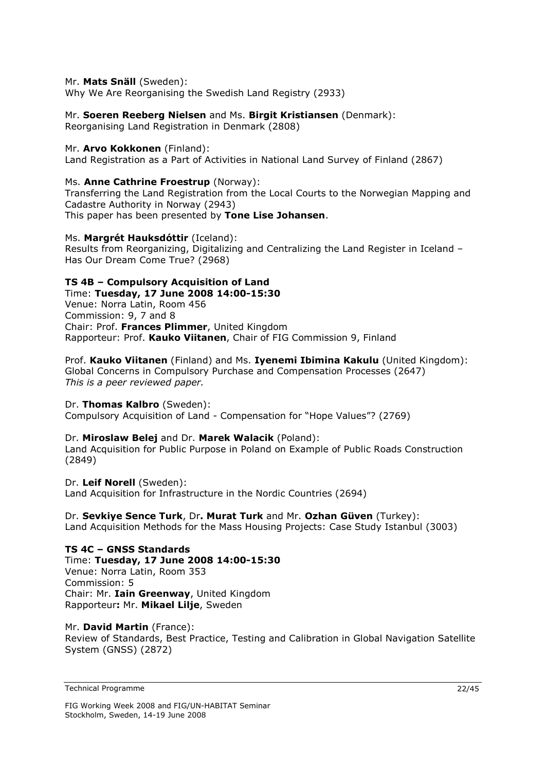### Mr. **Mats Snäll** (Sweden):

Why We Are Reorganising the Swedish Land Registry (2933)

### Mr. **Soeren Reeberg Nielsen** and Ms. **Birgit Kristiansen** (Denmark):

Reorganising Land Registration in Denmark (2808)

### Mr. **Arvo Kokkonen** (Finland):

Land Registration as a Part of Activities in National Land Survey of Finland (2867)

### Ms. **Anne Cathrine Froestrup** (Norway):

Transferring the Land Registration from the Local Courts to the Norwegian Mapping and Cadastre Authority in Norway (2943) This paper has been presented by **Tone Lise Johansen**.

### Ms. **Margrét Hauksdóttir** (Iceland):

Results from Reorganizing, Digitalizing and Centralizing the Land Register in Iceland – Has Our Dream Come True? (2968)

### **TS 4B – Compulsory Acquisition of Land**

Time: **Tuesday, 17 June 2008 14:00-15:30**  Venue: Norra Latin, Room 456 Commission: 9, 7 and 8 Chair: Prof. **Frances Plimmer**, United Kingdom Rapporteur: Prof. **Kauko Viitanen**, Chair of FIG Commission 9, Finland

#### Prof. **Kauko Viitanen** (Finland) and Ms. **Iyenemi Ibimina Kakulu** (United Kingdom): Global Concerns in Compulsory Purchase and Compensation Processes (2647)

*This is a peer reviewed paper.* 

### Dr. **Thomas Kalbro** (Sweden):

Compulsory Acquisition of Land - Compensation for "Hope Values"? (2769)

### Dr. **Miroslaw Belej** and Dr. **Marek Walacik** (Poland):

Land Acquisition for Public Purpose in Poland on Example of Public Roads Construction (2849)

Dr. **Leif Norell** (Sweden): Land Acquisition for Infrastructure in the Nordic Countries (2694)

Dr. **Sevkiye Sence Turk**, Dr**. Murat Turk** and Mr. **Ozhan Güven** (Turkey): Land Acquisition Methods for the Mass Housing Projects: Case Study Istanbul (3003)

#### **TS 4C – GNSS Standards**  Time: **Tuesday, 17 June 2008 14:00-15:30**  Venue: Norra Latin, Room 353 Commission: 5 Chair: Mr. **Iain Greenway**, United Kingdom Rapporteur**:** Mr. **Mikael Lilje**, Sweden

### Mr. **David Martin** (France):

Review of Standards, Best Practice, Testing and Calibration in Global Navigation Satellite System (GNSS) (2872)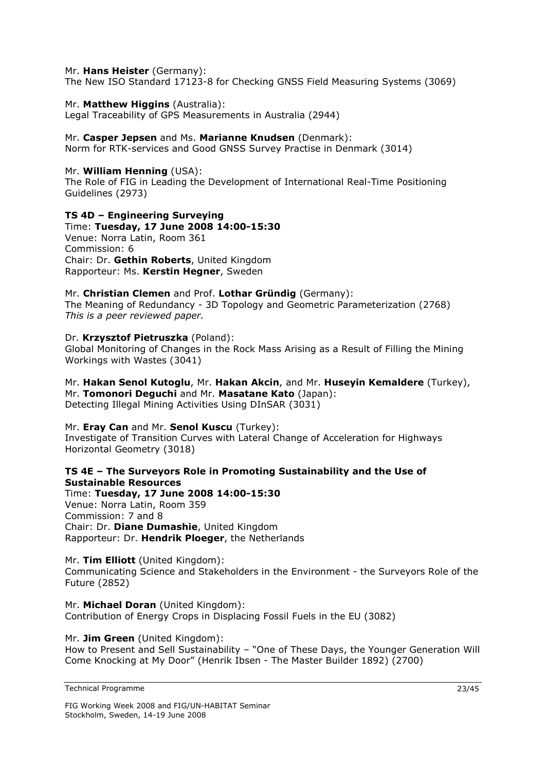### Mr. **Hans Heister** (Germany):

The New ISO Standard 17123-8 for Checking GNSS Field Measuring Systems (3069)

### Mr. **Matthew Higgins** (Australia):

Legal Traceability of GPS Measurements in Australia (2944)

### Mr. **Casper Jepsen** and Ms. **Marianne Knudsen** (Denmark):

Norm for RTK-services and Good GNSS Survey Practise in Denmark (3014)

### Mr. **William Henning** (USA):

The Role of FIG in Leading the Development of International Real-Time Positioning Guidelines (2973)

### **TS 4D – Engineering Surveying**

Time: **Tuesday, 17 June 2008 14:00-15:30**  Venue: Norra Latin, Room 361 Commission: 6 Chair: Dr. **Gethin Roberts**, United Kingdom Rapporteur: Ms. **Kerstin Hegner**, Sweden

### Mr. **Christian Clemen** and Prof. **Lothar Gründig** (Germany):

The Meaning of Redundancy - 3D Topology and Geometric Parameterization (2768) *This is a peer reviewed paper.* 

### Dr. **Krzysztof Pietruszka** (Poland):

Global Monitoring of Changes in the Rock Mass Arising as a Result of Filling the Mining Workings with Wastes (3041)

Mr. **Hakan Senol Kutoglu**, Mr. **Hakan Akcin**, and Mr. **Huseyin Kemaldere** (Turkey), Mr. **Tomonori Deguchi** and Mr. **Masatane Kato** (Japan): Detecting Illegal Mining Activities Using DInSAR (3031)

### Mr. **Eray Can** and Mr. **Senol Kuscu** (Turkey):

Investigate of Transition Curves with Lateral Change of Acceleration for Highways Horizontal Geometry (3018)

### **TS 4E – The Surveyors Role in Promoting Sustainability and the Use of Sustainable Resources**

Time: **Tuesday, 17 June 2008 14:00-15:30**  Venue: Norra Latin, Room 359 Commission: 7 and 8 Chair: Dr. **Diane Dumashie**, United Kingdom Rapporteur: Dr. **Hendrik Ploeger**, the Netherlands

### Mr. **Tim Elliott** (United Kingdom):

Communicating Science and Stakeholders in the Environment - the Surveyors Role of the Future (2852)

Mr. **Michael Doran** (United Kingdom): Contribution of Energy Crops in Displacing Fossil Fuels in the EU (3082)

### Mr. **Jim Green** (United Kingdom):

How to Present and Sell Sustainability – "One of These Days, the Younger Generation Will Come Knocking at My Door" (Henrik Ibsen - The Master Builder 1892) (2700)

Technical Programme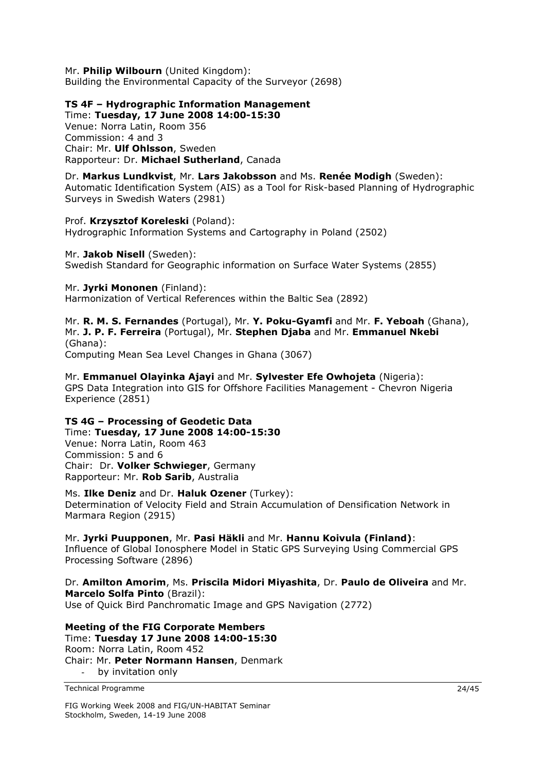Mr. **Philip Wilbourn** (United Kingdom): Building the Environmental Capacity of the Surveyor (2698)

**TS 4F – Hydrographic Information Management** 

Time: **Tuesday, 17 June 2008 14:00-15:30**  Venue: Norra Latin, Room 356 Commission: 4 and 3 Chair: Mr. **Ulf Ohlsson**, Sweden Rapporteur: Dr. **Michael Sutherland**, Canada

Dr. **Markus Lundkvist**, Mr. **Lars Jakobsson** and Ms. **Renée Modigh** (Sweden): Automatic Identification System (AIS) as a Tool for Risk-based Planning of Hydrographic Surveys in Swedish Waters (2981)

Prof. **Krzysztof Koreleski** (Poland): Hydrographic Information Systems and Cartography in Poland (2502)

Mr. **Jakob Nisell** (Sweden): Swedish Standard for Geographic information on Surface Water Systems (2855)

Mr. **Jyrki Mononen** (Finland):

Harmonization of Vertical References within the Baltic Sea (2892)

Mr. **R. M. S. Fernandes** (Portugal), Mr. **Y. Poku-Gyamfi** and Mr. **F. Yeboah** (Ghana), Mr. **J. P. F. Ferreira** (Portugal), Mr. **Stephen Djaba** and Mr. **Emmanuel Nkebi**  (Ghana):

Computing Mean Sea Level Changes in Ghana (3067)

Mr. **Emmanuel Olayinka Ajayi** and Mr. **Sylvester Efe Owhojeta** (Nigeria): GPS Data Integration into GIS for Offshore Facilities Management - Chevron Nigeria Experience (2851)

### **TS 4G – Processing of Geodetic Data**

Time: **Tuesday, 17 June 2008 14:00-15:30**  Venue: Norra Latin, Room 463 Commission: 5 and 6 Chair: Dr. **Volker Schwieger**, Germany Rapporteur: Mr. **Rob Sarib**, Australia

Ms. **Ilke Deniz** and Dr. **Haluk Ozener** (Turkey): Determination of Velocity Field and Strain Accumulation of Densification Network in Marmara Region (2915)

Mr. **Jyrki Puupponen**, Mr. **Pasi Häkli** and Mr. **Hannu Koivula (Finland)**: Influence of Global Ionosphere Model in Static GPS Surveying Using Commercial GPS Processing Software (2896)

Dr. **Amilton Amorim**, Ms. **Priscila Midori Miyashita**, Dr. **Paulo de Oliveira** and Mr. **Marcelo Solfa Pinto** (Brazil): Use of Quick Bird Panchromatic Image and GPS Navigation (2772)

**Meeting of the FIG Corporate Members**  Time: **Tuesday 17 June 2008 14:00-15:30** 

Room: Norra Latin, Room 452 Chair: Mr. **Peter Normann Hansen**, Denmark by invitation only

Technical Programme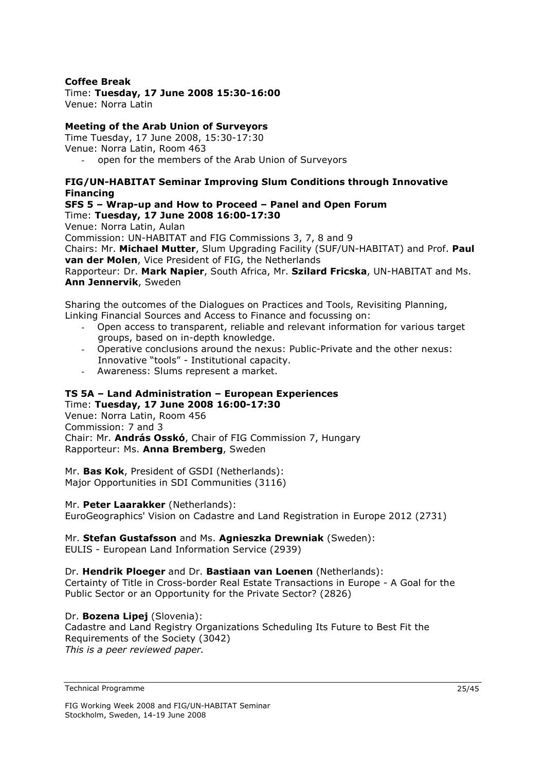### **Coffee Break**

### Time: **Tuesday, 17 June 2008 15:30-16:00**

Venue: Norra Latin

### **Meeting of the Arab Union of Surveyors**

Time Tuesday, 17 June 2008, 15:30-17:30 Venue: Norra Latin, Room 463 open for the members of the Arab Union of Surveyors

### **FIG/UN-HABITAT Seminar Improving Slum Conditions through Innovative Financing**

**SFS 5 – Wrap-up and How to Proceed – Panel and Open Forum**  Time: **Tuesday, 17 June 2008 16:00-17:30** 

Venue: Norra Latin, Aulan

Commission: UN-HABITAT and FIG Commissions 3, 7, 8 and 9

Chairs: Mr. **Michael Mutter**, Slum Upgrading Facility (SUF/UN-HABITAT) and Prof. **Paul van der Molen**, Vice President of FIG, the Netherlands

Rapporteur: Dr. **Mark Napier**, South Africa, Mr. **Szilard Fricska**, UN-HABITAT and Ms. **Ann Jennervik**, Sweden

Sharing the outcomes of the Dialogues on Practices and Tools, Revisiting Planning, Linking Financial Sources and Access to Finance and focussing on:

- Open access to transparent, reliable and relevant information for various target groups, based on in-depth knowledge.
- Operative conclusions around the nexus: Public-Private and the other nexus: Innovative "tools" - Institutional capacity.
- Awareness: Slums represent a market.

### **TS 5A – Land Administration – European Experiences**

Time: **Tuesday, 17 June 2008 16:00-17:30**  Venue: Norra Latin, Room 456 Commission: 7 and 3 Chair: Mr. **András Osskó**, Chair of FIG Commission 7, Hungary Rapporteur: Ms. **Anna Bremberg**, Sweden

Mr. **Bas Kok**, President of GSDI (Netherlands): Major Opportunities in SDI Communities (3116)

### Mr. **Peter Laarakker** (Netherlands):

EuroGeographics' Vision on Cadastre and Land Registration in Europe 2012 (2731)

### Mr. **Stefan Gustafsson** and Ms. **Agnieszka Drewniak** (Sweden):

EULIS - European Land Information Service (2939)

### Dr. **Hendrik Ploeger** and Dr. **Bastiaan van Loenen** (Netherlands):

Certainty of Title in Cross-border Real Estate Transactions in Europe - A Goal for the Public Sector or an Opportunity for the Private Sector? (2826)

### Dr. **Bozena Lipej** (Slovenia):

Cadastre and Land Registry Organizations Scheduling Its Future to Best Fit the Requirements of the Society (3042) *This is a peer reviewed paper.* 

Technical Programme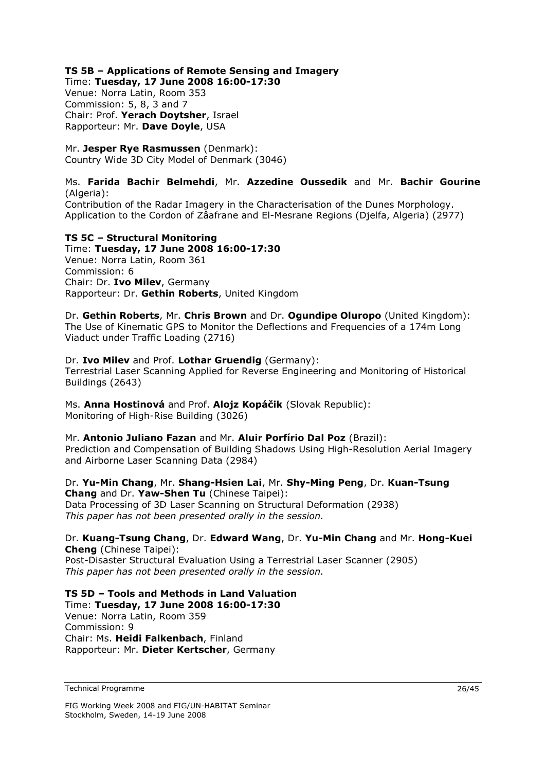### **TS 5B – Applications of Remote Sensing and Imagery**

Time: **Tuesday, 17 June 2008 16:00-17:30** 

Venue: Norra Latin, Room 353 Commission: 5, 8, 3 and 7 Chair: Prof. **Yerach Doytsher**, Israel Rapporteur: Mr. **Dave Doyle**, USA

Mr. **Jesper Rye Rasmussen** (Denmark): Country Wide 3D City Model of Denmark (3046)

### Ms. **Farida Bachir Belmehdi**, Mr. **Azzedine Oussedik** and Mr. **Bachir Gourine** (Algeria):

Contribution of the Radar Imagery in the Characterisation of the Dunes Morphology. Application to the Cordon of Zâafrane and El-Mesrane Regions (Djelfa, Algeria) (2977)

### **TS 5C – Structural Monitoring**

Time: **Tuesday, 17 June 2008 16:00-17:30**  Venue: Norra Latin, Room 361 Commission: 6 Chair: Dr. **Ivo Milev**, Germany Rapporteur: Dr. **Gethin Roberts**, United Kingdom

Dr. **Gethin Roberts**, Mr. **Chris Brown** and Dr. **Ogundipe Oluropo** (United Kingdom): The Use of Kinematic GPS to Monitor the Deflections and Frequencies of a 174m Long Viaduct under Traffic Loading (2716)

### Dr. **Ivo Milev** and Prof. **Lothar Gruendig** (Germany):

Terrestrial Laser Scanning Applied for Reverse Engineering and Monitoring of Historical Buildings (2643)

Ms. **Anna Hostinová** and Prof. **Alojz Kopáčik** (Slovak Republic): Monitoring of High-Rise Building (3026)

Mr. **Antonio Juliano Fazan** and Mr. **Aluir Porfírio Dal Poz** (Brazil): Prediction and Compensation of Building Shadows Using High-Resolution Aerial Imagery and Airborne Laser Scanning Data (2984)

Dr. **Yu-Min Chang**, Mr. **Shang-Hsien Lai**, Mr. **Shy-Ming Peng**, Dr. **Kuan-Tsung Chang** and Dr. **Yaw-Shen Tu** (Chinese Taipei): Data Processing of 3D Laser Scanning on Structural Deformation (2938) *This paper has not been presented orally in the session.* 

Dr. **Kuang-Tsung Chang**, Dr. **Edward Wang**, Dr. **Yu-Min Chang** and Mr. **Hong-Kuei Cheng** (Chinese Taipei): Post-Disaster Structural Evaluation Using a Terrestrial Laser Scanner (2905) *This paper has not been presented orally in the session.* 

**TS 5D – Tools and Methods in Land Valuation**  Time: **Tuesday, 17 June 2008 16:00-17:30**  Venue: Norra Latin, Room 359 Commission: 9 Chair: Ms. **Heidi Falkenbach**, Finland Rapporteur: Mr. **Dieter Kertscher**, Germany

Technical Programme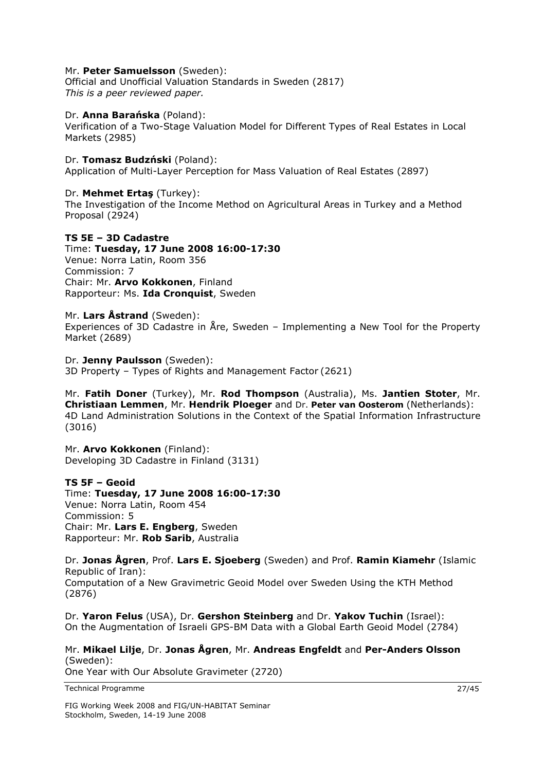### Mr. **Peter Samuelsson** (Sweden):

Official and Unofficial Valuation Standards in Sweden (2817) *This is a peer reviewed paper.* 

### Dr. **Anna Barańska** (Poland):

Verification of a Two-Stage Valuation Model for Different Types of Real Estates in Local Markets (2985)

### Dr. **Tomasz Budzński** (Poland):

Application of Multi-Layer Perception for Mass Valuation of Real Estates (2897)

Dr. **Mehmet Ertaş** (Turkey):

The Investigation of the Income Method on Agricultural Areas in Turkey and a Method Proposal (2924)

### **TS 5E – 3D Cadastre**

Time: **Tuesday, 17 June 2008 16:00-17:30**  Venue: Norra Latin, Room 356 Commission: 7 Chair: Mr. **Arvo Kokkonen**, Finland Rapporteur: Ms. **Ida Cronquist**, Sweden

#### Mr. **Lars Åstrand** (Sweden):

Experiences of 3D Cadastre in Åre, Sweden – Implementing a New Tool for the Property Market (2689)

#### Dr. **Jenny Paulsson** (Sweden):

3D Property – Types of Rights and Management Factor (2621)

Mr. **Fatih Doner** (Turkey), Mr. **Rod Thompson** (Australia), Ms. **Jantien Stoter**, Mr. **Christiaan Lemmen**, Mr. **Hendrik Ploeger** and Dr. **Peter van Oosterom** (Netherlands): 4D Land Administration Solutions in the Context of the Spatial Information Infrastructure (3016)

Mr. **Arvo Kokkonen** (Finland): Developing 3D Cadastre in Finland (3131)

### **TS 5F – Geoid**

Time: **Tuesday, 17 June 2008 16:00-17:30**  Venue: Norra Latin, Room 454 Commission: 5 Chair: Mr. **Lars E. Engberg**, Sweden Rapporteur: Mr. **Rob Sarib**, Australia

Dr. **Jonas Ågren**, Prof. **Lars E. Sjoeberg** (Sweden) and Prof. **Ramin Kiamehr** (Islamic Republic of Iran): Computation of a New Gravimetric Geoid Model over Sweden Using the KTH Method (2876)

Dr. **Yaron Felus** (USA), Dr. **Gershon Steinberg** and Dr. **Yakov Tuchin** (Israel): On the Augmentation of Israeli GPS-BM Data with a Global Earth Geoid Model (2784)

Mr. **Mikael Lilje**, Dr. **Jonas Ågren**, Mr. **Andreas Engfeldt** and **Per-Anders Olsson** (Sweden): One Year with Our Absolute Gravimeter (2720)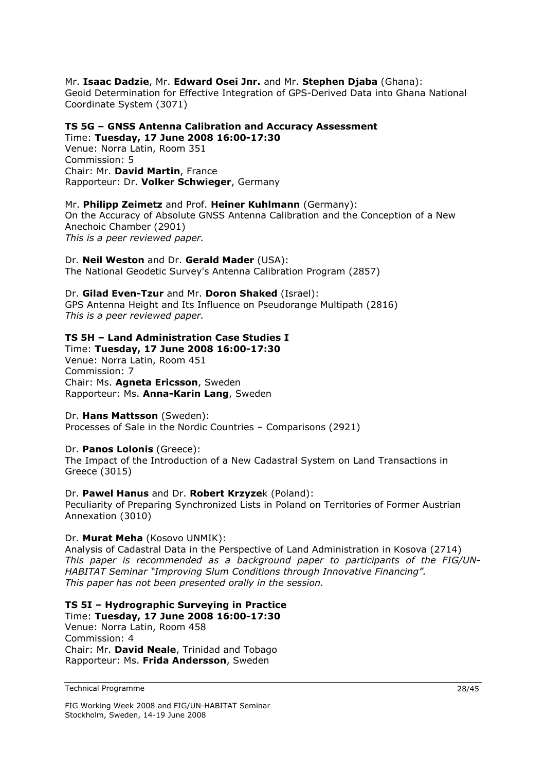### Mr. **Isaac Dadzie**, Mr. **Edward Osei Jnr.** and Mr. **Stephen Djaba** (Ghana):

Geoid Determination for Effective Integration of GPS-Derived Data into Ghana National Coordinate System (3071)

**TS 5G – GNSS Antenna Calibration and Accuracy Assessment**  Time: **Tuesday, 17 June 2008 16:00-17:30** 

Venue: Norra Latin, Room 351 Commission: 5 Chair: Mr. **David Martin**, France Rapporteur: Dr. **Volker Schwieger**, Germany

### Mr. **Philipp Zeimetz** and Prof. **Heiner Kuhlmann** (Germany):

On the Accuracy of Absolute GNSS Antenna Calibration and the Conception of a New Anechoic Chamber (2901) *This is a peer reviewed paper.* 

Dr. **Neil Weston** and Dr. **Gerald Mader** (USA): The National Geodetic Survey's Antenna Calibration Program (2857)

### Dr. **Gilad Even-Tzur** and Mr. **Doron Shaked** (Israel):

GPS Antenna Height and Its Influence on Pseudorange Multipath (2816) *This is a peer reviewed paper.* 

### **TS 5H – Land Administration Case Studies I**

Time: **Tuesday, 17 June 2008 16:00-17:30**  Venue: Norra Latin, Room 451 Commission: 7 Chair: Ms. **Agneta Ericsson**, Sweden Rapporteur: Ms. **Anna-Karin Lang**, Sweden

### Dr. **Hans Mattsson** (Sweden):

Processes of Sale in the Nordic Countries – Comparisons (2921)

### Dr. **Panos Lolonis** (Greece):

The Impact of the Introduction of a New Cadastral System on Land Transactions in Greece (3015)

### Dr. **Pawel Hanus** and Dr. **Robert Krzyze**k (Poland):

Peculiarity of Preparing Synchronized Lists in Poland on Territories of Former Austrian Annexation (3010)

### Dr. **Murat Meha** (Kosovo UNMIK):

Analysis of Cadastral Data in the Perspective of Land Administration in Kosova (2714) *This paper is recommended as a background paper to participants of the FIG/UN-HABITAT Seminar "Improving Slum Conditions through Innovative Financing". This paper has not been presented orally in the session.* 

### **TS 5I – Hydrographic Surveying in Practice**

Time: **Tuesday, 17 June 2008 16:00-17:30**  Venue: Norra Latin, Room 458 Commission: 4 Chair: Mr. **David Neale**, Trinidad and Tobago Rapporteur: Ms. **Frida Andersson**, Sweden

Technical Programme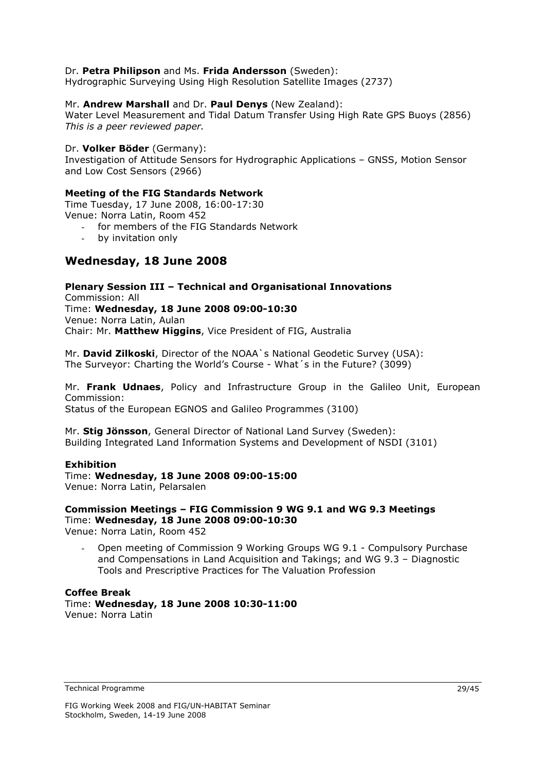### Dr. **Petra Philipson** and Ms. **Frida Andersson** (Sweden):

Hydrographic Surveying Using High Resolution Satellite Images (2737)

### Mr. **Andrew Marshall** and Dr. **Paul Denys** (New Zealand):

Water Level Measurement and Tidal Datum Transfer Using High Rate GPS Buoys (2856) *This is a peer reviewed paper.*

### Dr. **Volker Böder** (Germany):

Investigation of Attitude Sensors for Hydrographic Applications – GNSS, Motion Sensor and Low Cost Sensors (2966)

### **Meeting of the FIG Standards Network**

Time Tuesday, 17 June 2008, 16:00-17:30 Venue: Norra Latin, Room 452

- for members of the FIG Standards Network
- by invitation only

### **Wednesday, 18 June 2008**

### **Plenary Session III – Technical and Organisational Innovations**

Commission: All Time: **Wednesday, 18 June 2008 09:00-10:30**  Venue: Norra Latin, Aulan Chair: Mr. **Matthew Higgins**, Vice President of FIG, Australia

Mr. **David Zilkoski**, Director of the NOAA`s National Geodetic Survey (USA): The Surveyor: Charting the World's Course - What´s in the Future? (3099)

Mr. **Frank Udnaes**, Policy and Infrastructure Group in the Galileo Unit, European Commission:

Status of the European EGNOS and Galileo Programmes (3100)

Mr. **Stig Jönsson**, General Director of National Land Survey (Sweden): Building Integrated Land Information Systems and Development of NSDI (3101)

### **Exhibition**

### Time: **Wednesday, 18 June 2008 09:00-15:00**

Venue: Norra Latin, Pelarsalen

### **Commission Meetings – FIG Commission 9 WG 9.1 and WG 9.3 Meetings**  Time: **Wednesday, 18 June 2008 09:00-10:30**

Venue: Norra Latin, Room 452

- Open meeting of Commission 9 Working Groups WG 9.1 - Compulsory Purchase and Compensations in Land Acquisition and Takings; and WG 9.3 – Diagnostic Tools and Prescriptive Practices for The Valuation Profession

#### **Coffee Break**  Time: **Wednesday, 18 June 2008 10:30-11:00**  Venue: Norra Latin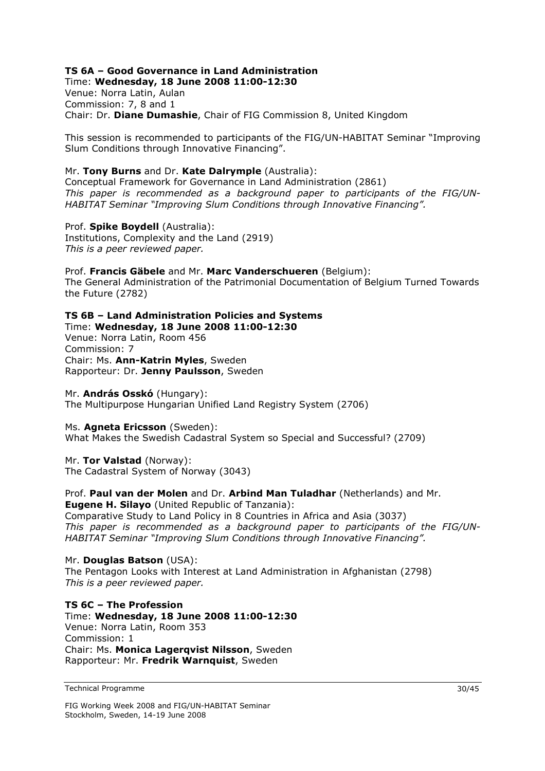## **TS 6A – Good Governance in Land Administration**

Time: **Wednesday, 18 June 2008 11:00-12:30**  Venue: Norra Latin, Aulan Commission: 7, 8 and 1 Chair: Dr. **Diane Dumashie**, Chair of FIG Commission 8, United Kingdom

This session is recommended to participants of the FIG/UN-HABITAT Seminar "Improving Slum Conditions through Innovative Financing".

### Mr. **Tony Burns** and Dr. **Kate Dalrymple** (Australia):

Conceptual Framework for Governance in Land Administration (2861) *This paper is recommended as a background paper to participants of the FIG/UN-HABITAT Seminar "Improving Slum Conditions through Innovative Financing".* 

Prof. **Spike Boydell** (Australia): Institutions, Complexity and the Land (2919) *This is a peer reviewed paper.* 

Prof. **Francis Gäbele** and Mr. **Marc Vanderschueren** (Belgium): The General Administration of the Patrimonial Documentation of Belgium Turned Towards the Future (2782)

### **TS 6B – Land Administration Policies and Systems**

Time: **Wednesday, 18 June 2008 11:00-12:30**  Venue: Norra Latin, Room 456 Commission: 7 Chair: Ms. **Ann-Katrin Myles**, Sweden Rapporteur: Dr. **Jenny Paulsson**, Sweden

Mr. **András Osskó** (Hungary): The Multipurpose Hungarian Unified Land Registry System (2706)

### Ms. **Agneta Ericsson** (Sweden):

What Makes the Swedish Cadastral System so Special and Successful? (2709)

Mr. **Tor Valstad** (Norway): The Cadastral System of Norway (3043)

Prof. **Paul van der Molen** and Dr. **Arbind Man Tuladhar** (Netherlands) and Mr. **Eugene H. Silayo** (United Republic of Tanzania):

Comparative Study to Land Policy in 8 Countries in Africa and Asia (3037) *This paper is recommended as a background paper to participants of the FIG/UN-HABITAT Seminar "Improving Slum Conditions through Innovative Financing".* 

Mr. **Douglas Batson** (USA): The Pentagon Looks with Interest at Land Administration in Afghanistan (2798) *This is a peer reviewed paper.* 

**TS 6C – The Profession**  Time: **Wednesday, 18 June 2008 11:00-12:30**  Venue: Norra Latin, Room 353 Commission: 1 Chair: Ms. **Monica Lagerqvist Nilsson**, Sweden Rapporteur: Mr. **Fredrik Warnquist**, Sweden

Technical Programme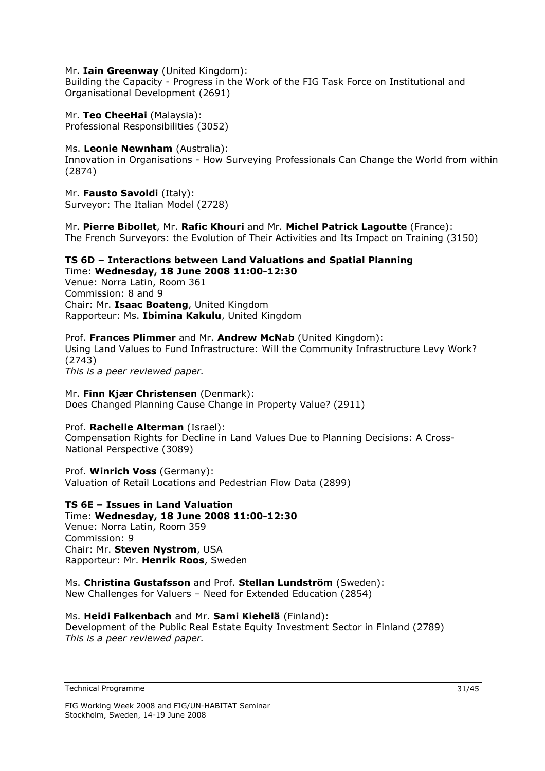#### Mr. **Iain Greenway** (United Kingdom):

Building the Capacity - Progress in the Work of the FIG Task Force on Institutional and Organisational Development (2691)

Mr. **Teo CheeHai** (Malaysia): Professional Responsibilities (3052)

#### Ms. **Leonie Newnham** (Australia):

Innovation in Organisations - How Surveying Professionals Can Change the World from within (2874)

Mr. **Fausto Savoldi** (Italy): Surveyor: The Italian Model (2728)

Mr. **Pierre Bibollet**, Mr. **Rafic Khouri** and Mr. **Michel Patrick Lagoutte** (France): The French Surveyors: the Evolution of Their Activities and Its Impact on Training (3150)

#### **TS 6D – Interactions between Land Valuations and Spatial Planning**  Time: **Wednesday, 18 June 2008 11:00-12:30**

Venue: Norra Latin, Room 361 Commission: 8 and 9 Chair: Mr. **Isaac Boateng**, United Kingdom Rapporteur: Ms. **Ibimina Kakulu**, United Kingdom

Prof. **Frances Plimmer** and Mr. **Andrew McNab** (United Kingdom): Using Land Values to Fund Infrastructure: Will the Community Infrastructure Levy Work? (2743) *This is a peer reviewed paper.* 

#### Mr. **Finn Kjær Christensen** (Denmark): Does Changed Planning Cause Change in Property Value? (2911)

### Prof. **Rachelle Alterman** (Israel):

Compensation Rights for Decline in Land Values Due to Planning Decisions: A Cross-National Perspective (3089)

Prof. **Winrich Voss** (Germany): Valuation of Retail Locations and Pedestrian Flow Data (2899)

### **TS 6E – Issues in Land Valuation**

Time: **Wednesday, 18 June 2008 11:00-12:30**  Venue: Norra Latin, Room 359 Commission: 9 Chair: Mr. **Steven Nystrom**, USA Rapporteur: Mr. **Henrik Roos**, Sweden

#### Ms. **Christina Gustafsson** and Prof. **Stellan Lundström** (Sweden): New Challenges for Valuers – Need for Extended Education (2854)

#### Ms. **Heidi Falkenbach** and Mr. **Sami Kiehelä** (Finland):

Development of the Public Real Estate Equity Investment Sector in Finland (2789) *This is a peer reviewed paper.*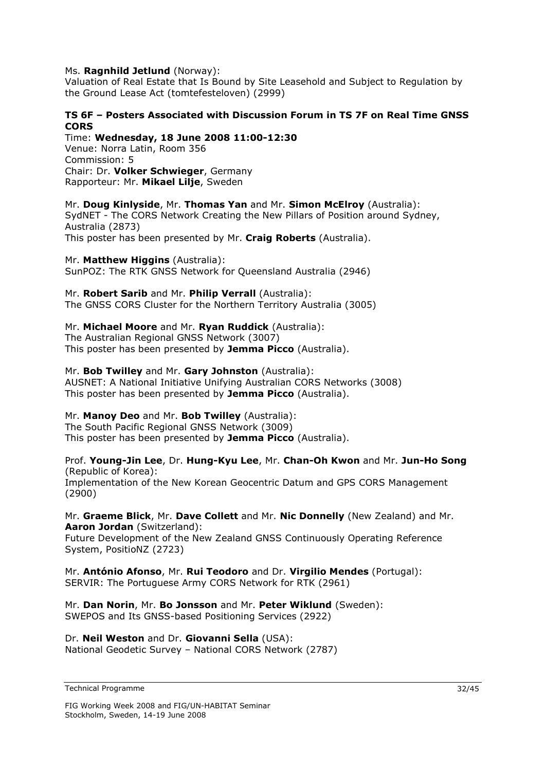### Ms. **Ragnhild Jetlund** (Norway):

Valuation of Real Estate that Is Bound by Site Leasehold and Subject to Regulation by the Ground Lease Act (tomtefesteloven) (2999)

### **TS 6F – Posters Associated with Discussion Forum in TS 7F on Real Time GNSS CORS**

Time: **Wednesday, 18 June 2008 11:00-12:30** 

Venue: Norra Latin, Room 356 Commission: 5 Chair: Dr. **Volker Schwieger**, Germany Rapporteur: Mr. **Mikael Lilje**, Sweden

### Mr. **Doug Kinlyside**, Mr. **Thomas Yan** and Mr. **Simon McElroy** (Australia):

SydNET - The CORS Network Creating the New Pillars of Position around Sydney, Australia (2873)

This poster has been presented by Mr. **Craig Roberts** (Australia).

Mr. **Matthew Higgins** (Australia):

SunPOZ: The RTK GNSS Network for Queensland Australia (2946)

Mr. **Robert Sarib** and Mr. **Philip Verrall** (Australia):

The GNSS CORS Cluster for the Northern Territory Australia (3005)

### Mr. **Michael Moore** and Mr. **Ryan Ruddick** (Australia):

The Australian Regional GNSS Network (3007) This poster has been presented by **Jemma Picco** (Australia).

### Mr. **Bob Twilley** and Mr. **Gary Johnston** (Australia):

AUSNET: A National Initiative Unifying Australian CORS Networks (3008) This poster has been presented by **Jemma Picco** (Australia).

### Mr. **Manoy Deo** and Mr. **Bob Twilley** (Australia):

The South Pacific Regional GNSS Network (3009) This poster has been presented by **Jemma Picco** (Australia).

### Prof. **Young-Jin Lee**, Dr. **Hung-Kyu Lee**, Mr. **Chan-Oh Kwon** and Mr. **Jun-Ho Song** (Republic of Korea):

Implementation of the New Korean Geocentric Datum and GPS CORS Management (2900)

### Mr. **Graeme Blick**, Mr. **Dave Collett** and Mr. **Nic Donnelly** (New Zealand) and Mr. **Aaron Jordan** (Switzerland):

Future Development of the New Zealand GNSS Continuously Operating Reference System, PositioNZ (2723)

Mr. **António Afonso**, Mr. **Rui Teodoro** and Dr. **Virgilio Mendes** (Portugal): SERVIR: The Portuguese Army CORS Network for RTK (2961)

### Mr. **Dan Norin**, Mr. **Bo Jonsson** and Mr. **Peter Wiklund** (Sweden): SWEPOS and Its GNSS-based Positioning Services (2922)

Dr. **Neil Weston** and Dr. **Giovanni Sella** (USA): National Geodetic Survey – National CORS Network (2787)

```
Technical Programme
```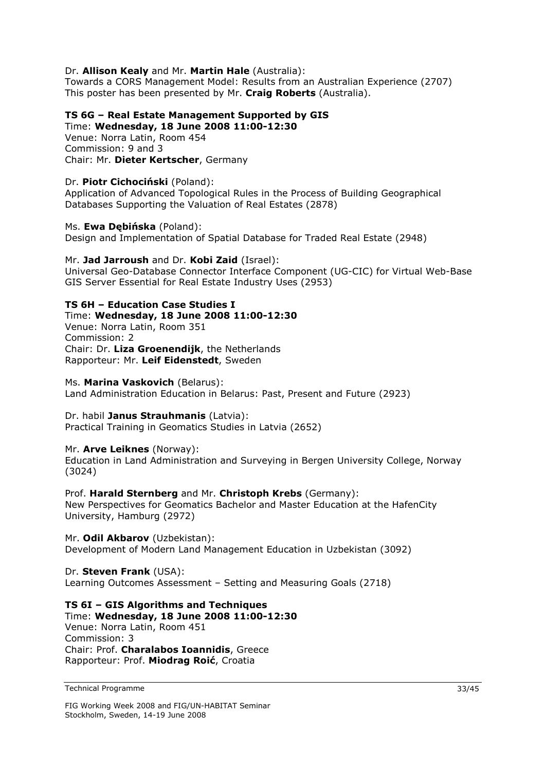### Dr. **Allison Kealy** and Mr. **Martin Hale** (Australia):

Towards a CORS Management Model: Results from an Australian Experience (2707) This poster has been presented by Mr. **Craig Roberts** (Australia).

### **TS 6G – Real Estate Management Supported by GIS**

Time: **Wednesday, 18 June 2008 11:00-12:30**  Venue: Norra Latin, Room 454 Commission: 9 and 3 Chair: Mr. **Dieter Kertscher**, Germany

### Dr. **Piotr Cichociński** (Poland):

Application of Advanced Topological Rules in the Process of Building Geographical Databases Supporting the Valuation of Real Estates (2878)

### Ms. **Ewa Dębińska** (Poland):

Design and Implementation of Spatial Database for Traded Real Estate (2948)

### Mr. **Jad Jarroush** and Dr. **Kobi Zaid** (Israel):

Universal Geo-Database Connector Interface Component (UG-CIC) for Virtual Web-Base GIS Server Essential for Real Estate Industry Uses (2953)

### **TS 6H – Education Case Studies I**

Time: **Wednesday, 18 June 2008 11:00-12:30** 

Venue: Norra Latin, Room 351 Commission: 2 Chair: Dr. **Liza Groenendijk**, the Netherlands Rapporteur: Mr. **Leif Eidenstedt**, Sweden

### Ms. **Marina Vaskovich** (Belarus):

Land Administration Education in Belarus: Past, Present and Future (2923)

### Dr. habil **Janus Strauhmanis** (Latvia):

Practical Training in Geomatics Studies in Latvia (2652)

### Mr. **Arve Leiknes** (Norway):

Education in Land Administration and Surveying in Bergen University College, Norway (3024)

### Prof. **Harald Sternberg** and Mr. **Christoph Krebs** (Germany):

New Perspectives for Geomatics Bachelor and Master Education at the HafenCity University, Hamburg (2972)

### Mr. **Odil Akbarov** (Uzbekistan):

Development of Modern Land Management Education in Uzbekistan (3092)

### Dr. **Steven Frank** (USA):

Learning Outcomes Assessment – Setting and Measuring Goals (2718)

### **TS 6I – GIS Algorithms and Techniques**

Time: **Wednesday, 18 June 2008 11:00-12:30**  Venue: Norra Latin, Room 451 Commission: 3 Chair: Prof. **Charalabos Ioannidis**, Greece Rapporteur: Prof. **Miodrag Roić**, Croatia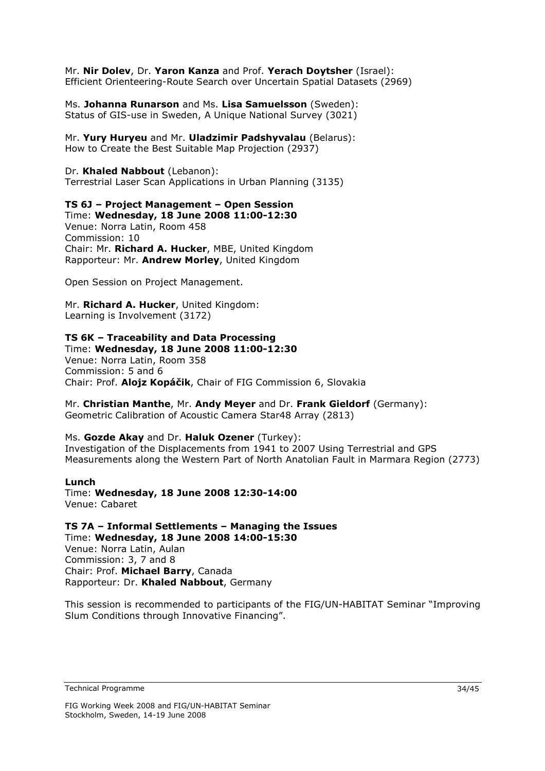Mr. **Nir Dolev**, Dr. **Yaron Kanza** and Prof. **Yerach Doytsher** (Israel): Efficient Orienteering-Route Search over Uncertain Spatial Datasets (2969)

Ms. **Johanna Runarson** and Ms. **Lisa Samuelsson** (Sweden): Status of GIS-use in Sweden, A Unique National Survey (3021)

Mr. **Yury Huryeu** and Mr. **Uladzimir Padshyvalau** (Belarus): How to Create the Best Suitable Map Projection (2937)

Dr. **Khaled Nabbout** (Lebanon): Terrestrial Laser Scan Applications in Urban Planning (3135)

### **TS 6J – Project Management – Open Session**

Time: **Wednesday, 18 June 2008 11:00-12:30**  Venue: Norra Latin, Room 458 Commission: 10 Chair: Mr. **Richard A. Hucker**, MBE, United Kingdom Rapporteur: Mr. **Andrew Morley**, United Kingdom

Open Session on Project Management.

Mr. **Richard A. Hucker**, United Kingdom: Learning is Involvement (3172)

#### **TS 6K – Traceability and Data Processing**  Time: **Wednesday, 18 June 2008 11:00-12:30**

Venue: Norra Latin, Room 358 Commission: 5 and 6 Chair: Prof. **Alojz Kopáčik**, Chair of FIG Commission 6, Slovakia

Mr. **Christian Manthe**, Mr. **Andy Meyer** and Dr. **Frank Gieldorf** (Germany): Geometric Calibration of Acoustic Camera Star48 Array (2813)

Ms. **Gozde Akay** and Dr. **Haluk Ozener** (Turkey):

Investigation of the Displacements from 1941 to 2007 Using Terrestrial and GPS Measurements along the Western Part of North Anatolian Fault in Marmara Region (2773)

**Lunch**  Time: **Wednesday, 18 June 2008 12:30-14:00**  Venue: Cabaret

**TS 7A – Informal Settlements – Managing the Issues** 

Time: **Wednesday, 18 June 2008 14:00-15:30**  Venue: Norra Latin, Aulan Commission: 3, 7 and 8 Chair: Prof. **Michael Barry**, Canada Rapporteur: Dr. **Khaled Nabbout**, Germany

This session is recommended to participants of the FIG/UN-HABITAT Seminar "Improving Slum Conditions through Innovative Financing".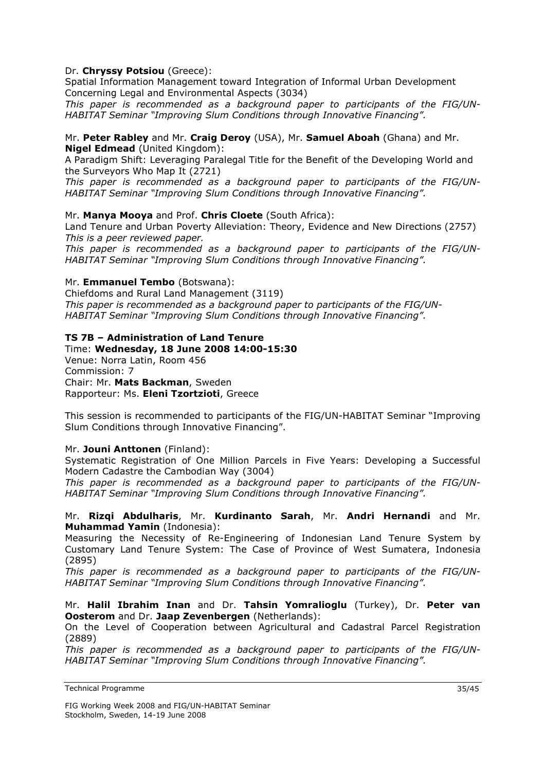### Dr. **Chryssy Potsiou** (Greece):

Spatial Information Management toward Integration of Informal Urban Development Concerning Legal and Environmental Aspects (3034)

*This paper is recommended as a background paper to participants of the FIG/UN-HABITAT Seminar "Improving Slum Conditions through Innovative Financing".* 

### Mr. **Peter Rabley** and Mr. **Craig Deroy** (USA), Mr. **Samuel Aboah** (Ghana) and Mr. **Nigel Edmead** (United Kingdom):

A Paradigm Shift: Leveraging Paralegal Title for the Benefit of the Developing World and the Surveyors Who Map It (2721)

*This paper is recommended as a background paper to participants of the FIG/UN-HABITAT Seminar "Improving Slum Conditions through Innovative Financing".* 

### Mr. **Manya Mooya** and Prof. **Chris Cloete** (South Africa):

Land Tenure and Urban Poverty Alleviation: Theory, Evidence and New Directions (2757) *This is a peer reviewed paper.* 

*This paper is recommended as a background paper to participants of the FIG/UN-HABITAT Seminar "Improving Slum Conditions through Innovative Financing".* 

### Mr. **Emmanuel Tembo** (Botswana):

Chiefdoms and Rural Land Management (3119) *This paper is recommended as a background paper to participants of the FIG/UN-HABITAT Seminar "Improving Slum Conditions through Innovative Financing".* 

### **TS 7B – Administration of Land Tenure**

### Time: **Wednesday, 18 June 2008 14:00-15:30**  Venue: Norra Latin, Room 456

Commission: 7 Chair: Mr. **Mats Backman**, Sweden Rapporteur: Ms. **Eleni Tzortzioti**, Greece

This session is recommended to participants of the FIG/UN-HABITAT Seminar "Improving Slum Conditions through Innovative Financing".

### Mr. **Jouni Anttonen** (Finland):

Systematic Registration of One Million Parcels in Five Years: Developing a Successful Modern Cadastre the Cambodian Way (3004)

*This paper is recommended as a background paper to participants of the FIG/UN-HABITAT Seminar "Improving Slum Conditions through Innovative Financing".* 

### Mr. **Rizqi Abdulharis**, Mr. **Kurdinanto Sarah**, Mr. **Andri Hernandi** and Mr. **Muhammad Yamin** (Indonesia):

Measuring the Necessity of Re-Engineering of Indonesian Land Tenure System by Customary Land Tenure System: The Case of Province of West Sumatera, Indonesia (2895)

*This paper is recommended as a background paper to participants of the FIG/UN-HABITAT Seminar "Improving Slum Conditions through Innovative Financing".* 

### Mr. **Halil Ibrahim Inan** and Dr. **Tahsin Yomralioglu** (Turkey), Dr. **Peter van Oosterom** and Dr. **Jaap Zevenbergen** (Netherlands):

On the Level of Cooperation between Agricultural and Cadastral Parcel Registration (2889)

*This paper is recommended as a background paper to participants of the FIG/UN-HABITAT Seminar "Improving Slum Conditions through Innovative Financing".* 

Technical Programme

FIG Working Week 2008 and FIG/UN-HABITAT Seminar Stockholm, Sweden, 14-19 June 2008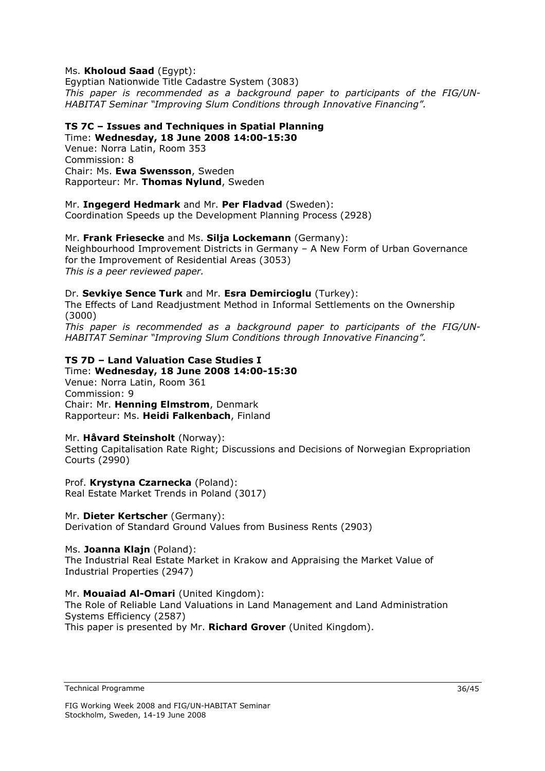### Ms. **Kholoud Saad** (Egypt):

Egyptian Nationwide Title Cadastre System (3083) *This paper is recommended as a background paper to participants of the FIG/UN-HABITAT Seminar "Improving Slum Conditions through Innovative Financing".* 

### **TS 7C – Issues and Techniques in Spatial Planning**

Time: **Wednesday, 18 June 2008 14:00-15:30**  Venue: Norra Latin, Room 353 Commission: 8 Chair: Ms. **Ewa Swensson**, Sweden

Rapporteur: Mr. **Thomas Nylund**, Sweden

### Mr. **Ingegerd Hedmark** and Mr. **Per Fladvad** (Sweden):

Coordination Speeds up the Development Planning Process (2928)

### Mr. **Frank Friesecke** and Ms. **Silja Lockemann** (Germany):

Neighbourhood Improvement Districts in Germany – A New Form of Urban Governance for the Improvement of Residential Areas (3053) *This is a peer reviewed paper.* 

### Dr. **Sevkiye Sence Turk** and Mr. **Esra Demircioglu** (Turkey):

The Effects of Land Readjustment Method in Informal Settlements on the Ownership (3000)

*This paper is recommended as a background paper to participants of the FIG/UN-HABITAT Seminar "Improving Slum Conditions through Innovative Financing".* 

### **TS 7D – Land Valuation Case Studies I**

Time: **Wednesday, 18 June 2008 14:00-15:30**  Venue: Norra Latin, Room 361 Commission: 9 Chair: Mr. **Henning Elmstrom**, Denmark Rapporteur: Ms. **Heidi Falkenbach**, Finland

### Mr. **Håvard Steinsholt** (Norway):

Setting Capitalisation Rate Right; Discussions and Decisions of Norwegian Expropriation Courts (2990)

Prof. **Krystyna Czarnecka** (Poland): Real Estate Market Trends in Poland (3017)

### Mr. **Dieter Kertscher** (Germany):

Derivation of Standard Ground Values from Business Rents (2903)

Ms. **Joanna Klajn** (Poland): The Industrial Real Estate Market in Krakow and Appraising the Market Value of Industrial Properties (2947)

### Mr. **Mouaiad Al-Omari** (United Kingdom):

The Role of Reliable Land Valuations in Land Management and Land Administration Systems Efficiency (2587) This paper is presented by Mr. **Richard Grover** (United Kingdom).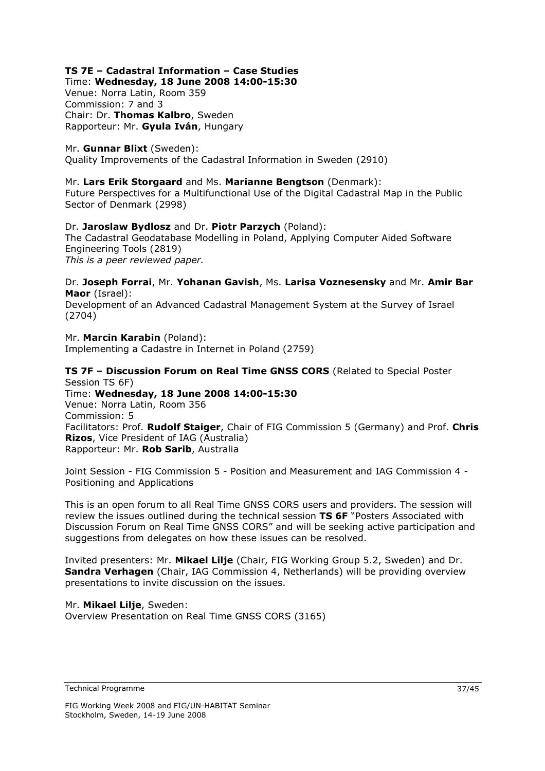### **TS 7E – Cadastral Information – Case Studies**

Time: **Wednesday, 18 June 2008 14:00-15:30** 

Venue: Norra Latin, Room 359 Commission: 7 and 3 Chair: Dr. **Thomas Kalbro**, Sweden Rapporteur: Mr. **Gyula Iván**, Hungary

### Mr. **Gunnar Blixt** (Sweden):

Quality Improvements of the Cadastral Information in Sweden (2910)

### Mr. **Lars Erik Storgaard** and Ms. **Marianne Bengtson** (Denmark):

Future Perspectives for a Multifunctional Use of the Digital Cadastral Map in the Public Sector of Denmark (2998)

### Dr. **Jaroslaw Bydlosz** and Dr. **Piotr Parzych** (Poland): The Cadastral Geodatabase Modelling in Poland, Applying Computer Aided Software Engineering Tools (2819) *This is a peer reviewed paper.*

### Dr. **Joseph Forrai**, Mr. **Yohanan Gavish**, Ms. **Larisa Voznesensky** and Mr. **Amir Bar Maor** (Israel):

Development of an Advanced Cadastral Management System at the Survey of Israel (2704)

#### Mr. **Marcin Karabin** (Poland): Implementing a Cadastre in Internet in Poland (2759)

### **TS 7F – Discussion Forum on Real Time GNSS CORS** (Related to Special Poster Session TS 6F)

Time: **Wednesday, 18 June 2008 14:00-15:30**  Venue: Norra Latin, Room 356 Commission: 5 Facilitators: Prof. **Rudolf Staiger**, Chair of FIG Commission 5 (Germany) and Prof. **Chris Rizos**, Vice President of IAG (Australia) Rapporteur: Mr. **Rob Sarib**, Australia

Joint Session - FIG Commission 5 - Position and Measurement and IAG Commission 4 - Positioning and Applications

This is an open forum to all Real Time GNSS CORS users and providers. The session will review the issues outlined during the technical session **TS 6F** "Posters Associated with Discussion Forum on Real Time GNSS CORS" and will be seeking active participation and suggestions from delegates on how these issues can be resolved.

Invited presenters: Mr. **Mikael Lilje** (Chair, FIG Working Group 5.2, Sweden) and Dr. **Sandra Verhagen** (Chair, IAG Commission 4, Netherlands) will be providing overview presentations to invite discussion on the issues.

#### Mr. **Mikael Lilje**, Sweden: Overview Presentation on Real Time GNSS CORS (3165)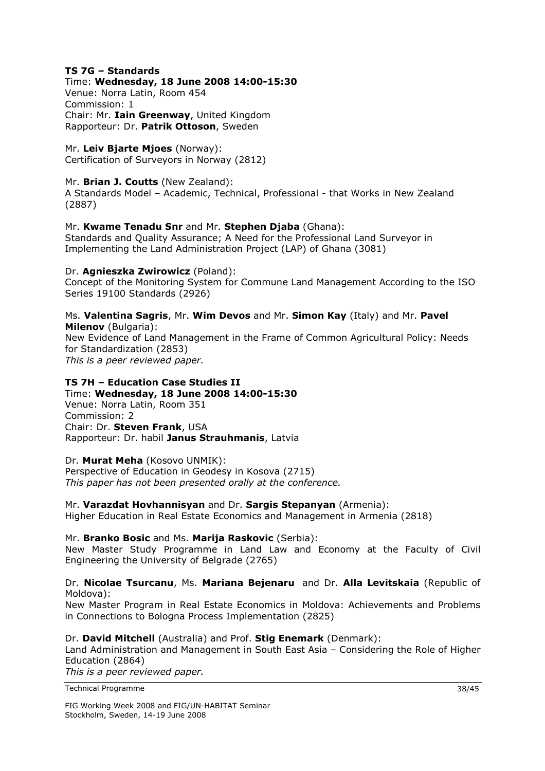### **TS 7G – Standards**

### Time: **Wednesday, 18 June 2008 14:00-15:30**

Venue: Norra Latin, Room 454 Commission: 1 Chair: Mr. **Iain Greenway**, United Kingdom Rapporteur: Dr. **Patrik Ottoson**, Sweden

Mr. **Leiv Bjarte Mjoes** (Norway): Certification of Surveyors in Norway (2812)

### Mr. **Brian J. Coutts** (New Zealand):

A Standards Model – Academic, Technical, Professional - that Works in New Zealand (2887)

### Mr. **Kwame Tenadu Snr** and Mr. **Stephen Djaba** (Ghana):

Standards and Quality Assurance; A Need for the Professional Land Surveyor in Implementing the Land Administration Project (LAP) of Ghana (3081)

### Dr. **Agnieszka Zwirowicz** (Poland):

Concept of the Monitoring System for Commune Land Management According to the ISO Series 19100 Standards (2926)

### Ms. **Valentina Sagris**, Mr. **Wim Devos** and Mr. **Simon Kay** (Italy) and Mr. **Pavel Milenov** (Bulgaria):

New Evidence of Land Management in the Frame of Common Agricultural Policy: Needs for Standardization (2853) *This is a peer reviewed paper.*

### **TS 7H – Education Case Studies II**

Time: **Wednesday, 18 June 2008 14:00-15:30**  Venue: Norra Latin, Room 351 Commission: 2 Chair: Dr. **Steven Frank**, USA Rapporteur: Dr. habil **Janus Strauhmanis**, Latvia

### Dr. **Murat Meha** (Kosovo UNMIK):

Perspective of Education in Geodesy in Kosova (2715) *This paper has not been presented orally at the conference.* 

### Mr. **Varazdat Hovhannisyan** and Dr. **Sargis Stepanyan** (Armenia):

Higher Education in Real Estate Economics and Management in Armenia (2818)

### Mr. **Branko Bosic** and Ms. **Marija Raskovic** (Serbia):

New Master Study Programme in Land Law and Economy at the Faculty of Civil Engineering the University of Belgrade (2765)

### Dr. **Nicolae Tsurcanu**, Ms. **Mariana Bejenaru** and Dr. **Alla Levitskaia** (Republic of Moldova):

New Master Program in Real Estate Economics in Moldova: Achievements and Problems in Connections to Bologna Process Implementation (2825)

### Dr. **David Mitchell** (Australia) and Prof. **Stig Enemark** (Denmark):

Land Administration and Management in South East Asia – Considering the Role of Higher Education (2864)

*This is a peer reviewed paper.*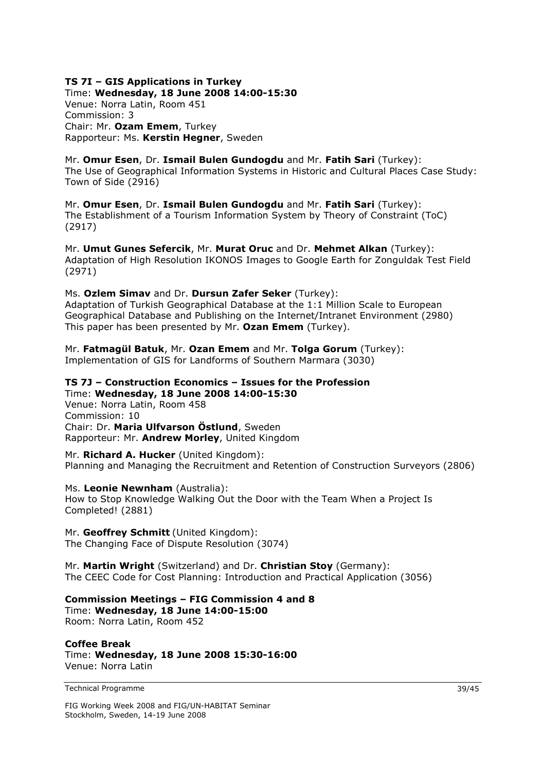## **TS 7I – GIS Applications in Turkey**

Time: **Wednesday, 18 June 2008 14:00-15:30**  Venue: Norra Latin, Room 451 Commission: 3 Chair: Mr. **Ozam Emem**, Turkey Rapporteur: Ms. **Kerstin Hegner**, Sweden

### Mr. **Omur Esen**, Dr. **Ismail Bulen Gundogdu** and Mr. **Fatih Sari** (Turkey):

The Use of Geographical Information Systems in Historic and Cultural Places Case Study: Town of Side (2916)

Mr. **Omur Esen**, Dr. **Ismail Bulen Gundogdu** and Mr. **Fatih Sari** (Turkey): The Establishment of a Tourism Information System by Theory of Constraint (ToC) (2917)

Mr. **Umut Gunes Sefercik**, Mr. **Murat Oruc** and Dr. **Mehmet Alkan** (Turkey): Adaptation of High Resolution IKONOS Images to Google Earth for Zonguldak Test Field (2971)

### Ms. **Ozlem Simav** and Dr. **Dursun Zafer Seker** (Turkey):

Adaptation of Turkish Geographical Database at the 1:1 Million Scale to European Geographical Database and Publishing on the Internet/Intranet Environment (2980) This paper has been presented by Mr. **Ozan Emem** (Turkey).

Mr. **Fatmagül Batuk**, Mr. **Ozan Emem** and Mr. **Tolga Gorum** (Turkey): Implementation of GIS for Landforms of Southern Marmara (3030)

### **TS 7J – Construction Economics – Issues for the Profession**

Time: **Wednesday, 18 June 2008 14:00-15:30**  Venue: Norra Latin, Room 458 Commission: 10 Chair: Dr. **Maria Ulfvarson Östlund**, Sweden Rapporteur: Mr. **Andrew Morley**, United Kingdom

Mr. **Richard A. Hucker** (United Kingdom): Planning and Managing the Recruitment and Retention of Construction Surveyors (2806)

### Ms. **Leonie Newnham** (Australia):

How to Stop Knowledge Walking Out the Door with the Team When a Project Is Completed! (2881)

Mr. **Geoffrey Schmitt** (United Kingdom): The Changing Face of Dispute Resolution (3074)

Mr. **Martin Wright** (Switzerland) and Dr. **Christian Stoy** (Germany): The CEEC Code for Cost Planning: Introduction and Practical Application (3056)

### **Commission Meetings – FIG Commission 4 and 8**

Time: **Wednesday, 18 June 14:00-15:00**  Room: Norra Latin, Room 452

**Coffee Break**  Time: **Wednesday, 18 June 2008 15:30-16:00**  Venue: Norra Latin

Technical Programme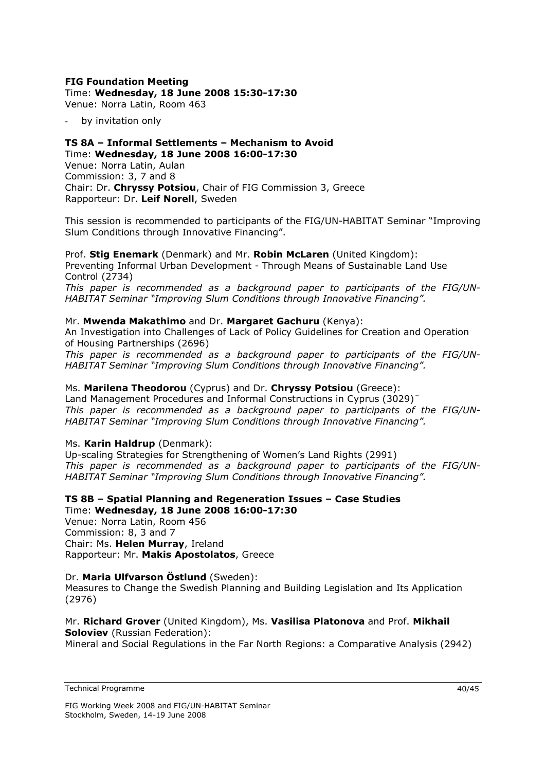### **FIG Foundation Meeting**

### Time: **Wednesday, 18 June 2008 15:30-17:30**

Venue: Norra Latin, Room 463

by invitation only

### **TS 8A – Informal Settlements – Mechanism to Avoid**  Time: **Wednesday, 18 June 2008 16:00-17:30**

Venue: Norra Latin, Aulan Commission: 3, 7 and 8 Chair: Dr. **Chryssy Potsiou**, Chair of FIG Commission 3, Greece Rapporteur: Dr. **Leif Norell**, Sweden

This session is recommended to participants of the FIG/UN-HABITAT Seminar "Improving Slum Conditions through Innovative Financing".

Prof. **Stig Enemark** (Denmark) and Mr. **Robin McLaren** (United Kingdom): Preventing Informal Urban Development - Through Means of Sustainable Land Use Control (2734)

*This paper is recommended as a background paper to participants of the FIG/UN-HABITAT Seminar "Improving Slum Conditions through Innovative Financing".* 

### Mr. **Mwenda Makathimo** and Dr. **Margaret Gachuru** (Kenya):

An Investigation into Challenges of Lack of Policy Guidelines for Creation and Operation of Housing Partnerships (2696)

*This paper is recommended as a background paper to participants of the FIG/UN-HABITAT Seminar "Improving Slum Conditions through Innovative Financing".* 

### Ms. **Marilena Theodorou** (Cyprus) and Dr. **Chryssy Potsiou** (Greece):

Land Management Procedures and Informal Constructions in Cyprus (3029)¨ *This paper is recommended as a background paper to participants of the FIG/UN-HABITAT Seminar "Improving Slum Conditions through Innovative Financing".* 

### Ms. **Karin Haldrup** (Denmark):

Up-scaling Strategies for Strengthening of Women's Land Rights (2991) *This paper is recommended as a background paper to participants of the FIG/UN-HABITAT Seminar "Improving Slum Conditions through Innovative Financing".* 

### **TS 8B – Spatial Planning and Regeneration Issues – Case Studies**  Time: **Wednesday, 18 June 2008 16:00-17:30**

Venue: Norra Latin, Room 456 Commission: 8, 3 and 7 Chair: Ms. **Helen Murray**, Ireland Rapporteur: Mr. **Makis Apostolatos**, Greece

### Dr. **Maria Ulfvarson Östlund** (Sweden):

Measures to Change the Swedish Planning and Building Legislation and Its Application (2976)

### Mr. **Richard Grover** (United Kingdom), Ms. **Vasilisa Platonova** and Prof. **Mikhail Soloviev** (Russian Federation):

Mineral and Social Regulations in the Far North Regions: a Comparative Analysis (2942)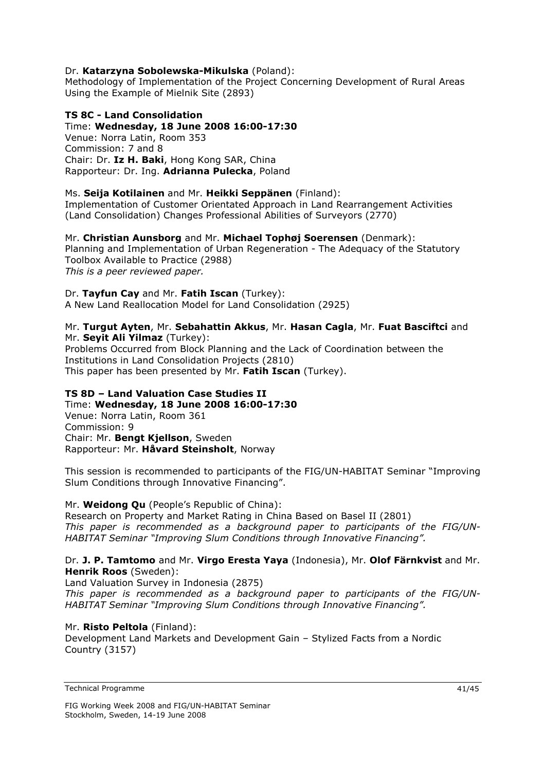### Dr. **Katarzyna Sobolewska-Mikulska** (Poland):

Methodology of Implementation of the Project Concerning Development of Rural Areas Using the Example of Mielnik Site (2893)

### **TS 8C - Land Consolidation**

Time: **Wednesday, 18 June 2008 16:00-17:30**  Venue: Norra Latin, Room 353 Commission: 7 and 8 Chair: Dr. **Iz H. Baki**, Hong Kong SAR, China Rapporteur: Dr. Ing. **Adrianna Pulecka**, Poland

#### Ms. **Seija Kotilainen** and Mr. **Heikki Seppänen** (Finland):

Implementation of Customer Orientated Approach in Land Rearrangement Activities (Land Consolidation) Changes Professional Abilities of Surveyors (2770)

Mr. **Christian Aunsborg** and Mr. **Michael Tophøj Soerensen** (Denmark): Planning and Implementation of Urban Regeneration - The Adequacy of the Statutory Toolbox Available to Practice (2988) *This is a peer reviewed paper.* 

Dr. **Tayfun Cay** and Mr. **Fatih Iscan** (Turkey): A New Land Reallocation Model for Land Consolidation (2925)

### Mr. **Turgut Ayten**, Mr. **Sebahattin Akkus**, Mr. **Hasan Cagla**, Mr. **Fuat Basciftci** and Mr. **Seyit Ali Yilmaz** (Turkey):

Problems Occurred from Block Planning and the Lack of Coordination between the Institutions in Land Consolidation Projects (2810) This paper has been presented by Mr. **Fatih Iscan** (Turkey).

### **TS 8D – Land Valuation Case Studies II**

Time: **Wednesday, 18 June 2008 16:00-17:30**  Venue: Norra Latin, Room 361 Commission: 9 Chair: Mr. **Bengt Kjellson**, Sweden Rapporteur: Mr. **Håvard Steinsholt**, Norway

This session is recommended to participants of the FIG/UN-HABITAT Seminar "Improving Slum Conditions through Innovative Financing".

### Mr. **Weidong Qu** (People's Republic of China):

Research on Property and Market Rating in China Based on Basel II (2801) *This paper is recommended as a background paper to participants of the FIG/UN-HABITAT Seminar "Improving Slum Conditions through Innovative Financing".* 

### Dr. **J. P. Tamtomo** and Mr. **Virgo Eresta Yaya** (Indonesia), Mr. **Olof Färnkvist** and Mr. **Henrik Roos** (Sweden):

Land Valuation Survey in Indonesia (2875)

*This paper is recommended as a background paper to participants of the FIG/UN-HABITAT Seminar "Improving Slum Conditions through Innovative Financing".* 

### Mr. **Risto Peltola** (Finland):

Development Land Markets and Development Gain – Stylized Facts from a Nordic Country (3157)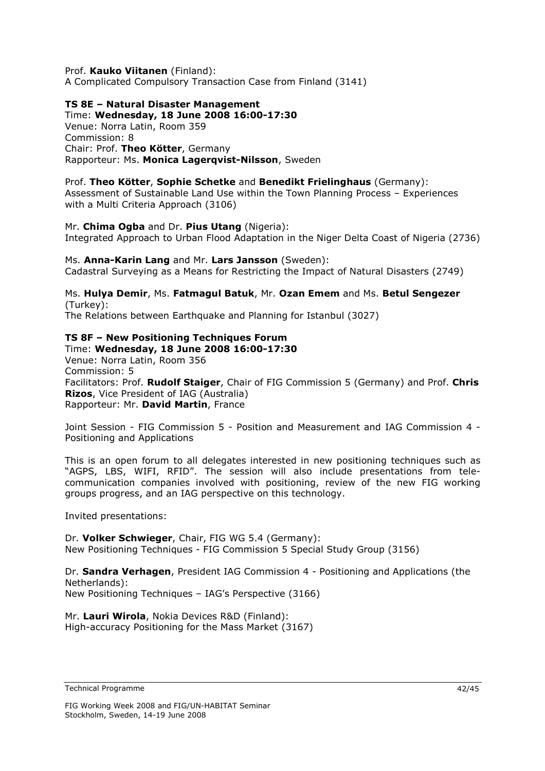Prof. **Kauko Viitanen** (Finland): A Complicated Compulsory Transaction Case from Finland (3141)

### **TS 8E – Natural Disaster Management**

Time: **Wednesday, 18 June 2008 16:00-17:30**  Venue: Norra Latin, Room 359 Commission: 8 Chair: Prof. **Theo Kötter**, Germany Rapporteur: Ms. **Monica Lagerqvist-Nilsson**, Sweden

### Prof. **Theo Kötter**, **Sophie Schetke** and **Benedikt Frielinghaus** (Germany):

Assessment of Sustainable Land Use within the Town Planning Process – Experiences with a Multi Criteria Approach (3106)

Mr. **Chima Ogba** and Dr. **Pius Utang** (Nigeria): Integrated Approach to Urban Flood Adaptation in the Niger Delta Coast of Nigeria (2736)

### Ms. **Anna-Karin Lang** and Mr. **Lars Jansson** (Sweden):

Cadastral Surveying as a Means for Restricting the Impact of Natural Disasters (2749)

### Ms. **Hulya Demir**, Ms. **Fatmagul Batuk**, Mr. **Ozan Emem** and Ms. **Betul Sengezer** (Turkey):

The Relations between Earthquake and Planning for Istanbul (3027)

### **TS 8F – New Positioning Techniques Forum**

Time: **Wednesday, 18 June 2008 16:00-17:30**  Venue: Norra Latin, Room 356 Commission: 5 Facilitators: Prof. **Rudolf Staiger**, Chair of FIG Commission 5 (Germany) and Prof. **Chris Rizos**, Vice President of IAG (Australia) Rapporteur: Mr. **David Martin**, France

Joint Session - FIG Commission 5 - Position and Measurement and IAG Commission 4 - Positioning and Applications

This is an open forum to all delegates interested in new positioning techniques such as "AGPS, LBS, WIFI, RFID". The session will also include presentations from telecommunication companies involved with positioning, review of the new FIG working groups progress, and an IAG perspective on this technology.

Invited presentations:

Dr. **Volker Schwieger**, Chair, FIG WG 5.4 (Germany): New Positioning Techniques - FIG Commission 5 Special Study Group (3156)

Dr. **Sandra Verhagen**, President IAG Commission 4 - Positioning and Applications (the Netherlands): New Positioning Techniques – IAG's Perspective (3166)

Mr. **Lauri Wirola**, Nokia Devices R&D (Finland): High-accuracy Positioning for the Mass Market (3167)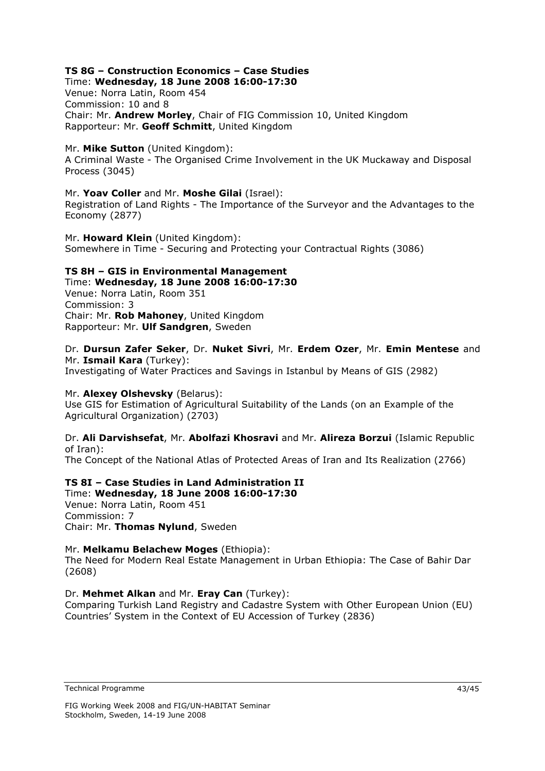### **TS 8G – Construction Economics – Case Studies**

Time: **Wednesday, 18 June 2008 16:00-17:30**  Venue: Norra Latin, Room 454 Commission: 10 and 8 Chair: Mr. **Andrew Morley**, Chair of FIG Commission 10, United Kingdom Rapporteur: Mr. **Geoff Schmitt**, United Kingdom

### Mr. **Mike Sutton** (United Kingdom):

A Criminal Waste - The Organised Crime Involvement in the UK Muckaway and Disposal Process (3045)

### Mr. **Yoav Coller** and Mr. **Moshe Gilai** (Israel):

Registration of Land Rights - The Importance of the Surveyor and the Advantages to the Economy (2877)

Mr. **Howard Klein** (United Kingdom): Somewhere in Time - Securing and Protecting your Contractual Rights (3086)

### **TS 8H – GIS in Environmental Management**

Time: **Wednesday, 18 June 2008 16:00-17:30**  Venue: Norra Latin, Room 351 Commission: 3 Chair: Mr. **Rob Mahoney**, United Kingdom Rapporteur: Mr. **Ulf Sandgren**, Sweden

### Dr. **Dursun Zafer Seker**, Dr. **Nuket Sivri**, Mr. **Erdem Ozer**, Mr. **Emin Mentese** and Mr. **Ismail Kara** (Turkey):

Investigating of Water Practices and Savings in Istanbul by Means of GIS (2982)

### Mr. **Alexey Olshevsky** (Belarus):

Use GIS for Estimation of Agricultural Suitability of the Lands (on an Example of the Agricultural Organization) (2703)

### Dr. **Ali Darvishsefat**, Mr. **Abolfazi Khosravi** and Mr. **Alireza Borzui** (Islamic Republic of Iran):

The Concept of the National Atlas of Protected Areas of Iran and Its Realization (2766)

### **TS 8I – Case Studies in Land Administration II**

Time: **Wednesday, 18 June 2008 16:00-17:30**  Venue: Norra Latin, Room 451 Commission: 7 Chair: Mr. **Thomas Nylund**, Sweden

### Mr. **Melkamu Belachew Moges** (Ethiopia):

The Need for Modern Real Estate Management in Urban Ethiopia: The Case of Bahir Dar (2608)

### Dr. **Mehmet Alkan** and Mr. **Eray Can** (Turkey):

Comparing Turkish Land Registry and Cadastre System with Other European Union (EU) Countries' System in the Context of EU Accession of Turkey (2836)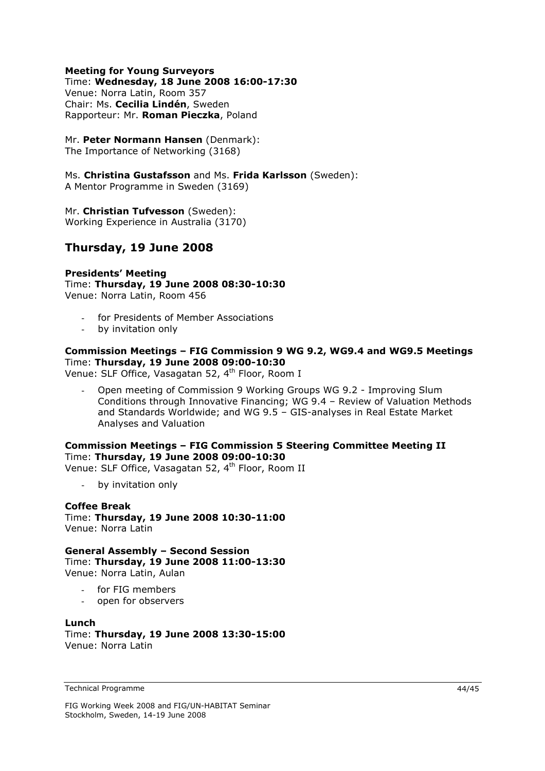### **Meeting for Young Surveyors**

#### Time: **Wednesday, 18 June 2008 16:00-17:30**

Venue: Norra Latin, Room 357 Chair: Ms. **Cecilia Lindén**, Sweden Rapporteur: Mr. **Roman Pieczka**, Poland

### Mr. **Peter Normann Hansen** (Denmark):

The Importance of Networking (3168)

Ms. **Christina Gustafsson** and Ms. **Frida Karlsson** (Sweden):

A Mentor Programme in Sweden (3169)

Mr. **Christian Tufvesson** (Sweden): Working Experience in Australia (3170)

### **Thursday, 19 June 2008**

**Presidents' Meeting**  Time: **Thursday, 19 June 2008 08:30-10:30**  Venue: Norra Latin, Room 456

- for Presidents of Member Associations
- by invitation only

### **Commission Meetings – FIG Commission 9 WG 9.2, WG9.4 and WG9.5 Meetings**  Time: **Thursday, 19 June 2008 09:00-10:30**

Venue: SLF Office, Vasagatan 52, 4<sup>th</sup> Floor, Room I

- Open meeting of Commission 9 Working Groups WG 9.2 - Improving Slum Conditions through Innovative Financing; WG 9.4 – Review of Valuation Methods and Standards Worldwide; and WG 9.5 – GIS-analyses in Real Estate Market Analyses and Valuation

### **Commission Meetings – FIG Commission 5 Steering Committee Meeting II**  Time: **Thursday, 19 June 2008 09:00-10:30**

Venue: SLF Office, Vasagatan 52, 4<sup>th</sup> Floor, Room II

- by invitation only

### **Coffee Break**

Time: **Thursday, 19 June 2008 10:30-11:00**  Venue: Norra Latin

**General Assembly – Second Session**  Time: **Thursday, 19 June 2008 11:00-13:30**  Venue: Norra Latin, Aulan

- for FIG members
- open for observers

# **Lunch**

Time: **Thursday, 19 June 2008 13:30-15:00**  Venue: Norra Latin